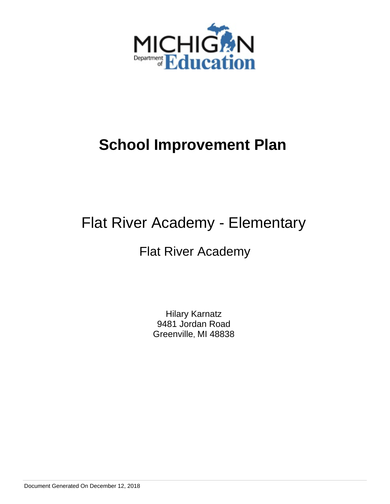

# Flat River Academy - Elementary

# Flat River Academy

Hilary Karnatz 9481 Jordan Road Greenville, MI 48838

Document Generated On December 12, 2018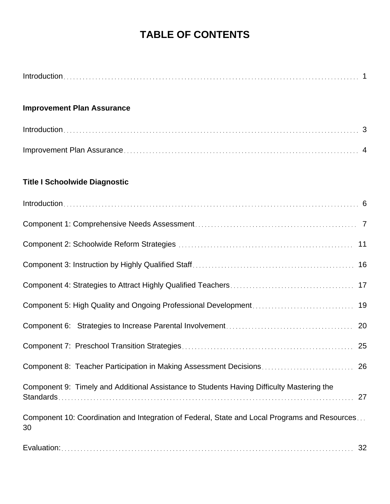# **TABLE OF CONTENTS**

| <b>Improvement Plan Assurance</b>                                                                   |
|-----------------------------------------------------------------------------------------------------|
|                                                                                                     |
|                                                                                                     |
| <b>Title I Schoolwide Diagnostic</b>                                                                |
|                                                                                                     |
|                                                                                                     |
|                                                                                                     |
|                                                                                                     |
| 17                                                                                                  |
| 19                                                                                                  |
|                                                                                                     |
|                                                                                                     |
| 26                                                                                                  |
| Component 9: Timely and Additional Assistance to Students Having Difficulty Mastering the<br>27     |
| Component 10: Coordination and Integration of Federal, State and Local Programs and Resources<br>30 |
| 32                                                                                                  |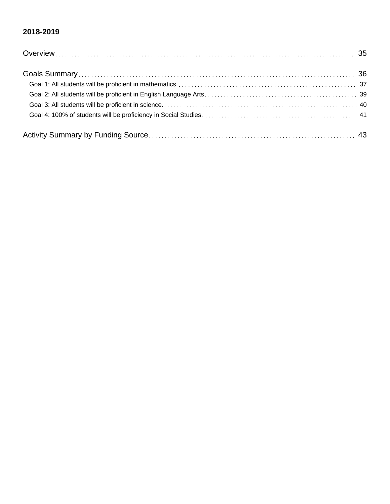### **2018-2019**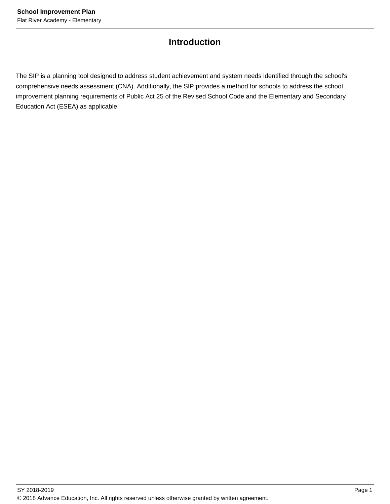## **Introduction**

The SIP is a planning tool designed to address student achievement and system needs identified through the school's comprehensive needs assessment (CNA). Additionally, the SIP provides a method for schools to address the school improvement planning requirements of Public Act 25 of the Revised School Code and the Elementary and Secondary Education Act (ESEA) as applicable.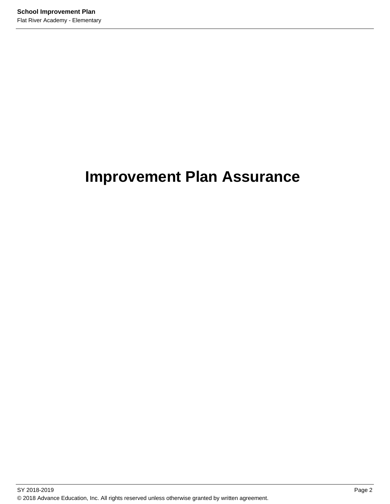# **Improvement Plan Assurance**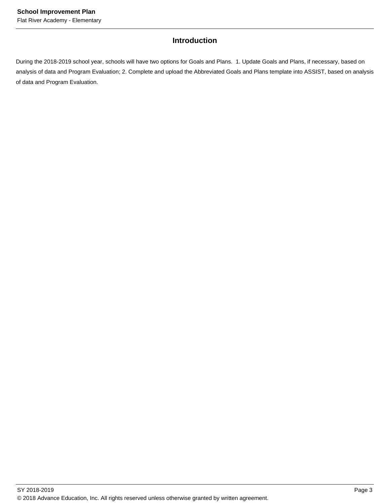### **Introduction**

During the 2018-2019 school year, schools will have two options for Goals and Plans. 1. Update Goals and Plans, if necessary, based on analysis of data and Program Evaluation; 2. Complete and upload the Abbreviated Goals and Plans template into ASSIST, based on analysis of data and Program Evaluation.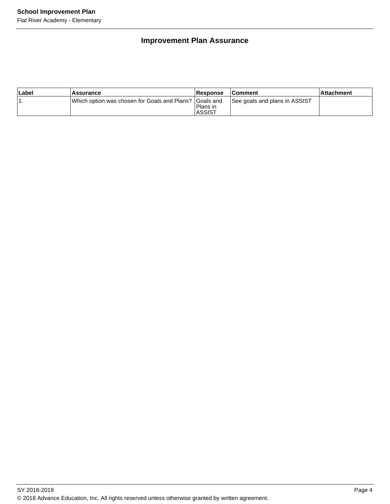## **Improvement Plan Assurance**

| ∣Label | <b>Assurance</b>                                         | Response                  | <b>Comment</b>                | <b>Attachment</b> |
|--------|----------------------------------------------------------|---------------------------|-------------------------------|-------------------|
|        | Which option was chosen for Goals and Plans?   Goals and | Plans in<br><b>ASSIST</b> | See goals and plans in ASSIST |                   |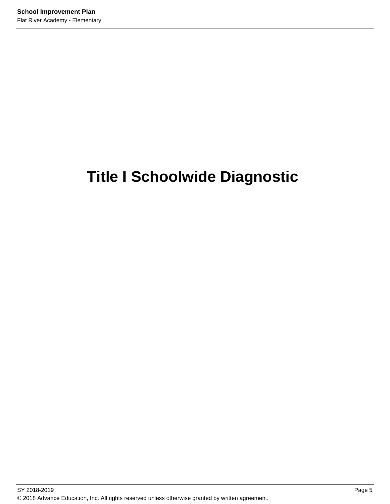# **Title I Schoolwide Diagnostic**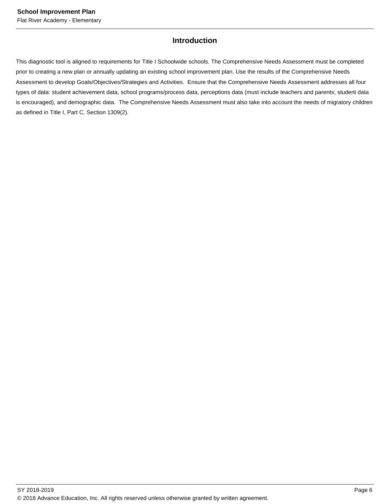### **Introduction**

This diagnostic tool is aligned to requirements for Title I Schoolwide schools. The Comprehensive Needs Assessment must be completed prior to creating a new plan or annually updating an existing school improvement plan. Use the results of the Comprehensive Needs Assessment to develop Goals/Objectives/Strategies and Activities. Ensure that the Comprehensive Needs Assessment addresses all four types of data: student achievement data, school programs/process data, perceptions data (must include teachers and parents; student data is encouraged), and demographic data. The Comprehensive Needs Assessment must also take into account the needs of migratory children as defined in Title I, Part C, Section 1309(2).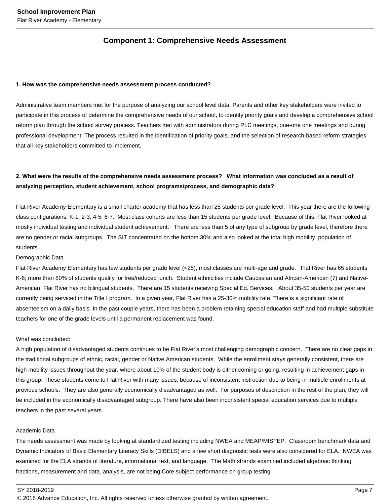### **Component 1: Comprehensive Needs Assessment**

#### **1. How was the comprehensive needs assessment process conducted?**

Administrative team members met for the purpose of analyzing our school level data. Parents and other key stakeholders were invited to participate in this process of determine the comprehensive needs of our school, to identify priority goals and develop a comprehensive school reform plan through the school survey process. Teachers met with administrators during PLC meetings, one-one one meetings and during professional development. The process resulted in the identification of priority goals, and the selection of research-based reform strategies that all key stakeholders committed to implement.

### **2. What were the results of the comprehensive needs assessment process? What information was concluded as a result of analyzing perception, student achievement, school programs/process, and demographic data?**

Flat River Academy Elementary is a small charter academy that has less than 25 students per grade level. This year there are the following class configurations: K-1, 2-3, 4-5, 6-7. Most class cohorts are less than 15 students per grade level. Because of this, Flat River looked at mostly individual testing and individual student achievement. There are less than 5 of any type of subgroup by grade level, therefore there are no gender or racial subgroups. The SIT concentrated on the bottom 30% and also looked at the total high mobility population of students.

#### Demographic Data

Flat River Academy Elementary has few students per grade level (<25), most classes are multi-age and grade. Flat River has 65 students K-6; more than 80% of students qualify for free/reduced lunch. Student ethnicities include Caucasian and African-American (7) and Native-American. Flat River has no bilingual students. There are 15 students receiving Special Ed. Services. About 35-50 students per year are currently being serviced in the Title I program. In a given year, Flat River has a 25-30% mobility rate. There is a significant rate of absenteeism on a daily basis. In the past couple years, there has been a problem retaining special education staff and had multiple substitute teachers for one of the grade levels until a permanent replacement was found.

#### What was concluded:

A high population of disadvantaged students continues to be Flat River's most challenging demographic concern. There are no clear gaps in the traditional subgroups of ethnic, racial, gender or Native American students. While the enrollment stays generally consistent, there are high mobility issues throughout the year, where about 10% of the student body is either coming or going, resulting in achievement gaps in this group. These students come to Flat River with many issues, because of inconsistent instruction due to being in multiple enrollments at previous schools. They are also generally economically disadvantaged as well. For purposes of description in the rest of the plan, they will be included in the economically disadvantaged subgroup. There have also been inconsistent special education services due to multiple teachers in the past several years.

#### Academic Data

The needs assessment was made by looking at standardized testing including NWEA and MEAP/MISTEP. Classroom benchmark data and Dynamic Indicators of Basic Elementary Literacy Skills (DIBELS) and a few short diagnostic tests were also considered for ELA. NWEA was examined for the ELA strands of literature, informational text, and language. The Math strands examined included algebraic thinking, fractions, measurement and data. analysis, are not being Core subject performance on group testing

#### SY 2018-2019 Page 7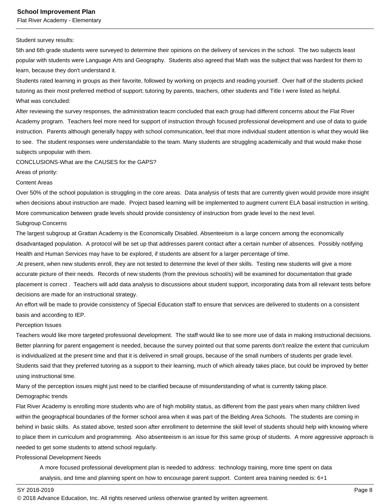Flat River Academy - Elementary

#### Student survey results:

5th and 6th grade students were surveyed to determine their opinions on the delivery of services in the school. The two subjects least popular with students were Language Arts and Geography. Students also agreed that Math was the subject that was hardest for them to learn, because they don't understand it.

Students rated learning in groups as their favorite, followed by working on projects and reading yourself. Over half of the students picked tutoring as their most preferred method of support; tutoring by parents, teachers, other students and Title I were listed as helpful. What was concluded:

After reviewing the survey responses, the administration teacm concluded that each group had different concerns about the Flat River Academy program. Teachers feel more need for support of instruction through focused professional development and use of data to guide instruction. Parents although generally happy with school communication, feel that more individual student attention is what they would like to see. The student responses were understandable to the team. Many students are struggling academically and that would make those subjects unpopular with them.

CONCLUSIONS-What are the CAUSES for the GAPS?

Areas of priority:

#### Content Areas

Over 50% of the school population is struggling in the core areas. Data analysis of tests that are currently given would provide more insight when decisions about instruction are made. Project based learning will be implemented to augment current ELA basal instruction in writing. More communication between grade levels should provide consistency of instruction from grade level to the next level.

#### Subgroup Concerns

The largest subgroup at Grattan Academy is the Economically Disabled. Absenteeism is a large concern among the economically disadvantaged population. A protocol will be set up that addresses parent contact after a certain number of absences. Possibly notifying Health and Human Services may have to be explored, if students are absent for a larger percentage of time.

.At present, when new students enroll, they are not tested to determine the level of their skills. Testing new students will give a more accurate picture of their needs. Records of new students (from the previous school/s) will be examined for documentation that grade placement is correct . Teachers will add data analysis to discussions about student support, incorporating data from all relevant tests before decisions are made for an instructional strategy.

An effort will be made to provide consistency of Special Education staff to ensure that services are delivered to students on a consistent basis and according to IEP.

#### Perception Issues

Teachers would like more targeted professional development. The staff would like to see more use of data in making instructional decisions. Better planning for parent engagement is needed, because the survey pointed out that some parents don't realize the extent that curriculum is individualized at the present time and that it is delivered in small groups, because of the small numbers of students per grade level. Students said that they preferred tutoring as a support to their learning, much of which already takes place, but could be improved by better using instructional time.

Many of the perception issues might just need to be clarified because of misunderstanding of what is currently taking place. Demographic trends

Flat River Academy is enrolling more students who are of high mobility status, as different from the past years when many children lived within the geographical boundaries of the former school area when it was part of the Belding Area Schools. The students are coming in behind in basic skills. As stated above, tested soon after enrollment to determine the skill level of students should help with knowing where to place them in curriculum and programming. Also absenteeism is an issue for this same group of students. A more aggressive approach is needed to get some students to attend school regularly.

Professional Development Needs

 A more focused professional development plan is needed to address: technology training, more time spent on data analysis, and time and planning spent on how to encourage parent support. Content area training needed is: 6+1

SY 2018-2019 Page 8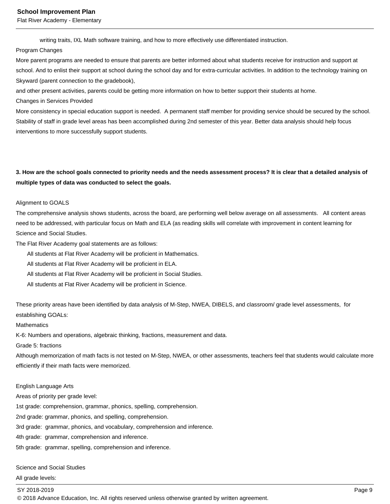Flat River Academy - Elementary

writing traits, IXL Math software training, and how to more effectively use differentiated instruction.

#### Program Changes

More parent programs are needed to ensure that parents are better informed about what students receive for instruction and support at school. And to enlist their support at school during the school day and for extra-curricular activities. In addition to the technology training on Skyward (parent connection to the gradebook),

and other present activities, parents could be getting more information on how to better support their students at home.

Changes in Services Provided

More consistency in special education support is needed. A permanent staff member for providing service should be secured by the school. Stability of staff in grade level areas has been accomplished during 2nd semester of this year. Better data analysis should help focus interventions to more successfully support students.

### **3. How are the school goals connected to priority needs and the needs assessment process? It is clear that a detailed analysis of multiple types of data was conducted to select the goals.**

#### Alignment to GOALS

The comprehensive analysis shows students, across the board, are performing well below average on all assessments. All content areas need to be addressed, with particular focus on Math and ELA (as reading skills will correlate with improvement in content learning for Science and Social Studies.

The Flat River Academy goal statements are as follows:

All students at Flat River Academy will be proficient in Mathematics.

All students at Flat River Academy will be proficient in ELA.

All students at Flat River Academy will be proficient in Social Studies.

All students at Flat River Academy will be proficient in Science.

These priority areas have been identified by data analysis of M-Step, NWEA, DIBELS, and classroom/ grade level assessments, for establishing GOALs:

#### **Mathematics**

K-6: Numbers and operations, algebraic thinking, fractions, measurement and data.

Grade 5: fractions

Although memorization of math facts is not tested on M-Step, NWEA, or other assessments, teachers feel that students would calculate more efficiently if their math facts were memorized.

#### English Language Arts

Areas of priority per grade level:

1st grade: comprehension, grammar, phonics, spelling, comprehension.

2nd grade: grammar, phonics, and spelling, comprehension.

3rd grade: grammar, phonics, and vocabulary, comprehension and inference.

4th grade: grammar, comprehension and inference.

5th grade: grammar, spelling, comprehension and inference.

Science and Social Studies

All grade levels:

#### SY 2018-2019 Page 9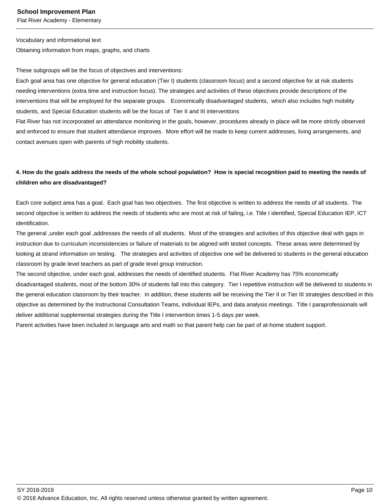Flat River Academy - Elementary

Vocabulary and informational text

Obtaining information from maps, graphs, and charts

These subgroups will be the focus of objectives and interventions:

Each goal area has one objective for general education (Tier I) students (classroom focus) and a second objective for at risk students needing interventions (extra time and instruction focus). The strategies and activities of these objectives provide descriptions of the interventions that will be employed for the separate groups. Economically disadvantaged students, which also includes high mobility students, and Special Education students will be the focus of Tier II and III interventions

Flat River has not incorporated an attendance monitoring in the goals, however, procedures already in place will be more strictly observed and enforced to ensure that student attendance improves. More effort will be made to keep current addresses, living arrangements, and contact avenues open with parents of high mobility students.

### **4. How do the goals address the needs of the whole school population? How is special recognition paid to meeting the needs of children who are disadvantaged?**

Each core subject area has a goal. Each goal has two objectives. The first objective is written to address the needs of all students. The second objective is written to address the needs of students who are most at risk of failing, i.e. Title I identified, Special Education IEP, ICT identification.

The general ,under each goal ,addresses the needs of all students. Most of the strategies and activities of this objective deal with gaps in instruction due to curriculum inconsistencies or failure of materials to be aligned with tested concepts. These areas were determined by looking at strand information on testing. The strategies and activities of objective one will be delivered to students in the general education classroom by grade level teachers as part of grade level group instruction.

The second objective, under each goal, addresses the needs of identified students. Flat River Academy has 75% economically disadvantaged students, most of the bottom 30% of students fall into this category. Tier I repetitive instruction will be delivered to students in the general education classroom by their teacher. In addition, these students will be receiving the Tier II or Tier III strategies described in this objective as determined by the Instructional Consultation Teams, individual IEPs, and data analysis meetings. Title I paraprofessionals will deliver additional supplemental strategies during the Title I intervention times 1-5 days per week.

Parent activities have been included in language arts and math so that parent help can be part of at-home student support.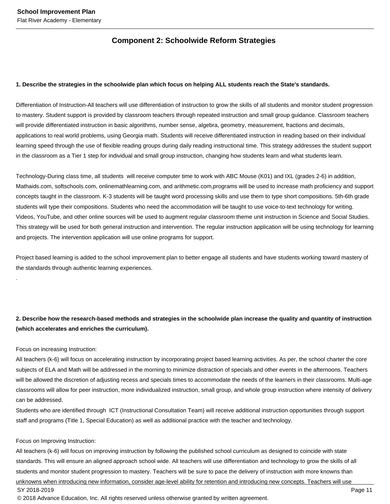### **Component 2: Schoolwide Reform Strategies**

#### **1. Describe the strategies in the schoolwide plan which focus on helping ALL students reach the State's standards.**

Differentiation of Instruction-All teachers will use differentiation of instruction to grow the skills of all students and monitor student progression to mastery. Student support is provided by classroom teachers through repeated instruction and small group guidance. Classroom teachers will provide differentiated instruction in basic algorithms, number sense, algebra, geometry, measurement, fractions and decimals, applications to real world problems, using Georgia math. Students will receive differentiated instruction in reading based on their individual learning speed through the use of flexible reading groups during daily reading instructional time. This strategy addresses the student support in the classroom as a Tier 1 step for individual and small group instruction, changing how students learn and what students learn.

Technology-During class time, all students will receive computer time to work with ABC Mouse (K01) and IXL (grades 2-6) in addition, Mathaids.com, softschools.com, onlinemathlearning.com, and arithmetic.com,programs will be used to increase math proficiency and support concepts taught in the classroom. K-3 students will be taught word processing skills and use them to type short compositions. 5th-6th grade students will type their compositions. Students who need the accommodation will be taught to use voice-to-text technology for writing. Videos, YouTube, and other online sources will be used to augment regular classroom theme unit instruction in Science and Social Studies. This strategy will be used for both general instruction and intervention. The regular instruction application will be using technology for learning and projects. The intervention application will use online programs for support.

Project based learning is added to the school improvement plan to better engage all students and have students working toward mastery of the standards through authentic learning experiences.

### **2. Describe how the research-based methods and strategies in the schoolwide plan increase the quality and quantity of instruction (which accelerates and enriches the curriculum).**

#### Focus on increasing Instruction:

.

All teachers (k-6) will focus on accelerating instruction by incorporating project based learning activities. As per, the school charter the core subjects of ELA and Math will be addressed in the morning to minimize distraction of specials and other events in the afternoons. Teachers will be allowed the discretion of adjusting recess and specials times to accommodate the needs of the learners in their classrooms. Multi-age classrooms will allow for peer instruction, more individualized instruction, small group, and whole group instruction where intensity of delivery can be addressed.

Students who are identified through ICT (Instructional Consultation Team) will receive additional instruction opportunities through support staff and programs (Title 1, Special Education) as well as additional practice with the teacher and technology.

#### Focus on Improving Instruction:

All teachers (k-6) will focus on improving instruction by following the published school curriculum as designed to coincide with state standards. This will ensure an aligned approach school wide. All teachers will use differentiation and technology to grow the skills of all students and monitor student progression to mastery. Teachers will be sure to pace the delivery of instruction with more knowns than unknowns when introducing new information, consider age-level ability for retention and introducing new concepts. Teachers will use SY 2018-2019 Page 11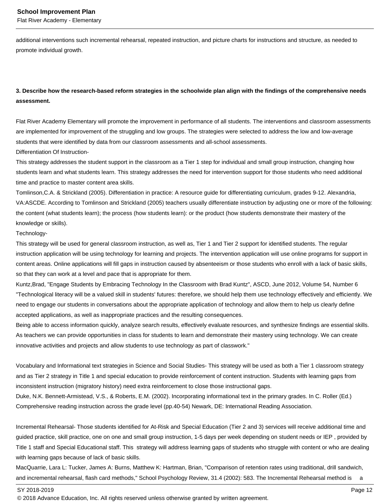Flat River Academy - Elementary

additional interventions such incremental rehearsal, repeated instruction, and picture charts for instructions and structure, as needed to promote individual growth.

### **3. Describe how the research-based reform strategies in the schoolwide plan align with the findings of the comprehensive needs assessment.**

Flat River Academy Elementary will promote the improvement in performance of all students. The interventions and classroom assessments are implemented for improvement of the struggling and low groups. The strategies were selected to address the low and low-average students that were identified by data from our classroom assessments and all-school assessments.

Differentiation Of Instruction-

This strategy addresses the student support in the classroom as a Tier 1 step for individual and small group instruction, changing how students learn and what students learn. This strategy addresses the need for intervention support for those students who need additional time and practice to master content area skills.

Tomlinson,C.A. & Strickland (2005). Differentiation in practice: A resource guide for differentiating curriculum, grades 9-12. Alexandria, VA:ASCDE. According to Tomlinson and Strickland (2005) teachers usually differentiate instruction by adjusting one or more of the following: the content (what students learn); the process (how students learn): or the product (how students demonstrate their mastery of the knowledge or skills).

#### Technology-

This strategy will be used for general classroom instruction, as well as, Tier 1 and Tier 2 support for identified students. The regular instruction application will be using technology for learning and projects. The intervention application will use online programs for support in content areas. Online applications will fill gaps in instruction caused by absenteeism or those students who enroll with a lack of basic skills, so that they can work at a level and pace that is appropriate for them.

Kuntz,Brad, "Engage Students by Embracing Technology In the Classroom with Brad Kuntz", ASCD, June 2012, Volume 54, Number 6 "Technological literacy will be a valued skill in students' futures: therefore, we should help them use technology effectively and efficiently. We need to engage our students in conversations about the appropriate application of technology and allow them to help us clearly define accepted applications, as well as inappropriate practices and the resulting consequences.

Being able to access information quickly, analyze search results, effectively evaluate resources, and synthesize findings are essential skills. As teachers we can provide opportunities in class for students to learn and demonstrate their mastery using technology. We can create innovative activities and projects and allow students to use technology as part of classwork."

Vocabulary and Informational text strategies in Science and Social Studies- This strategy will be used as both a Tier 1 classroom strategy and as Tier 2 strategy in Title 1 and special education to provide reinforcement of content instruction. Students with learning gaps from inconsistent instruction (migratory history) need extra reinforcement to close those instructional gaps.

Duke, N.K. Bennett-Armistead, V.S., & Roberts, E.M. (2002). Incorporating informational text in the primary grades. In C. Roller (Ed.) Comprehensive reading instruction across the grade level (pp.40-54) Newark, DE: International Reading Association.

Incremental Rehearsal- Those students identified for At-Risk and Special Education (Tier 2 and 3) services will receive additional time and guided practice, skill practice, one on one and small group instruction, 1-5 days per week depending on student needs or IEP , provided by Title 1 staff and Special Educational staff. This strategy will address learning gaps of students who struggle with content or who are dealing with learning gaps because of lack of basic skills.

MacQuarrie, Lara L: Tucker, James A: Burns, Matthew K: Hartman, Brian, "Comparison of retention rates using traditional, drill sandwich, and incremental rehearsal, flash card methods," School Psychology Review, 31.4 (2002): 583. The Incremental Rehearsal method is a

SY 2018-2019 Page 12

<sup>© 2018</sup> Advance Education, Inc. All rights reserved unless otherwise granted by written agreement.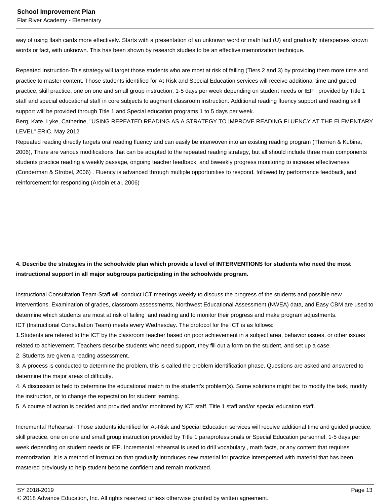Flat River Academy - Elementary

way of using flash cards more effectively. Starts with a presentation of an unknown word or math fact (U) and gradually intersperses known words or fact, with unknown. This has been shown by research studies to be an effective memorization technique.

Repeated Instruction-This strategy will target those students who are most at risk of failing (Tiers 2 and 3) by providing them more time and practice to master content. Those students identified for At Risk and Special Education services will receive additional time and guided practice, skill practice, one on one and small group instruction, 1-5 days per week depending on student needs or IEP , provided by Title 1 staff and special educational staff in core subjects to augment classroom instruction. Additional reading fluency support and reading skill support will be provided through Title 1 and Special education programs 1 to 5 days per week.

Berg, Kate, Lyke, Catherine, "USING REPEATED READING AS A STRATEGY TO IMPROVE READING FLUENCY AT THE ELEMENTARY LEVEL" ERIC, May 2012

Repeated reading directly targets oral reading fluency and can easily be interwoven into an existing reading program (Therrien & Kubina, 2006), There are various modifications that can be adapted to the repeated reading strategy, but all should include three main components students practice reading a weekly passage, ongoing teacher feedback, and biweekly progress monitoring to increase effectiveness (Conderman & Strobel, 2006) . Fluency is advanced through multiple opportunities to respond, followed by performance feedback, and reinforcement for responding (Ardoin et al. 2006)

### **4. Describe the strategies in the schoolwide plan which provide a level of INTERVENTIONS for students who need the most instructional support in all major subgroups participating in the schoolwide program.**

Instructional Consultation Team-Staff will conduct ICT meetings weekly to discuss the progress of the students and possible new interventions. Examination of grades, classroom assessments, Northwest Educational Assessment (NWEA) data, and Easy CBM are used to determine which students are most at risk of failing and reading and to monitor their progress and make program adjustments. ICT (Instructional Consultation Team) meets every Wednesday. The protocol for the ICT is as follows:

1.Students are refered to the ICT by the classroom teacher based on poor achievement in a subject area, behavior issues, or other issues related to achievement. Teachers describe students who need support, they fill out a form on the student, and set up a case.

2. Students are given a reading assessment.

3. A process is conducted to determine the problem, this is called the problem identification phase. Questions are asked and answered to determine the major areas of difficulty.

4. A discussion is held to determine the educational match to the student's problem(s). Some solutions might be: to modify the task, modify the instruction, or to change the expectation for student learning.

5. A course of action is decided and provided and/or monitored by ICT staff, Title 1 staff and/or special education staff.

Incremental Rehearsal- Those students identified for At-Risk and Special Education services will receive additional time and guided practice, skill practice, one on one and small group instruction provided by Title 1 paraprofessionals or Special Education personnel, 1-5 days per week depending on student needs or IEP. Incremental rehearsal is used to drill vocabulary , math facts, or any content that requires memorization. It is a method of instruction that gradually introduces new material for practice interspersed with material that has been mastered previously to help student become confident and remain motivated.

SY 2018-2019 Page 13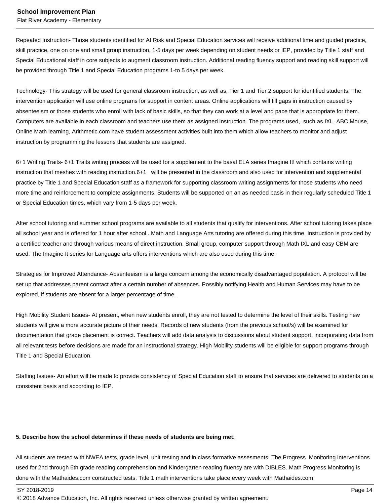Flat River Academy - Elementary

Repeated Instruction- Those students identified for At Risk and Special Education services will receive additional time and guided practice, skill practice, one on one and small group instruction, 1-5 days per week depending on student needs or IEP, provided by Title 1 staff and Special Educational staff in core subjects to augment classroom instruction. Additional reading fluency support and reading skill support will be provided through Title 1 and Special Education programs 1-to 5 days per week.

Technology- This strategy will be used for general classroom instruction, as well as, Tier 1 and Tier 2 support for identified students. The intervention application will use online programs for support in content areas. Online applications will fill gaps in instruction caused by absenteeism or those students who enroll with lack of basic skills, so that they can work at a level and pace that is appropriate for them. Computers are available in each classroom and teachers use them as assigned instruction. The programs used,. such as IXL, ABC Mouse, Online Math learning, Arithmetic.com have student assessment activities built into them which allow teachers to monitor and adjust instruction by programming the lessons that students are assigned.

6+1 Writing Traits- 6+1 Traits writing process will be used for a supplement to the basal ELA series Imagine It! which contains writing instruction that meshes with reading instruction.6+1 will be presented in the classroom and also used for intervention and supplemental practice by Title 1 and Special Education staff as a framework for supporting classroom writing assignments for those students who need more time and reinforcement to complete assignments. Students will be supported on an as needed basis in their regularly scheduled Title 1 or Special Education times, which vary from 1-5 days per week.

After school tutoring and summer school programs are available to all students that qualify for interventions. After school tutoring takes place all school year and is offered for 1 hour after school.. Math and Language Arts tutoring are offered during this time. Instruction is provided by a certified teacher and through various means of direct instruction. Small group, computer support through Math IXL and easy CBM are used. The Imagine It series for Language arts offers interventions which are also used during this time.

Strategies for Improved Attendance- Absenteeism is a large concern among the economically disadvantaged population. A protocol will be set up that addresses parent contact after a certain number of absences. Possibly notifying Health and Human Services may have to be explored, if students are absent for a larger percentage of time.

High Mobility Student Issues- At present, when new students enroll, they are not tested to determine the level of their skills. Testing new students will give a more accurate picture of their needs. Records of new students (from the previous school/s) will be examined for documentation that grade placement is correct. Teachers will add data analysis to discussions about student support, incorporating data from all relevant tests before decisions are made for an instructional strategy. High Mobility students will be eligible for support programs through Title 1 and Special Education.

Staffing Issues- An effort will be made to provide consistency of Special Education staff to ensure that services are delivered to students on a consistent basis and according to IEP.

#### **5. Describe how the school determines if these needs of students are being met.**

All students are tested with NWEA tests, grade level, unit testing and in class formative assesments. The Progress Monitoring interventions used for 2nd through 6th grade reading comprehension and Kindergarten reading fluency are with DIBLES. Math Progress Monitoring is done with the Mathaides.com constructed tests. Title 1 math interventions take place every week with Mathaides.com

SY 2018-2019 Page 14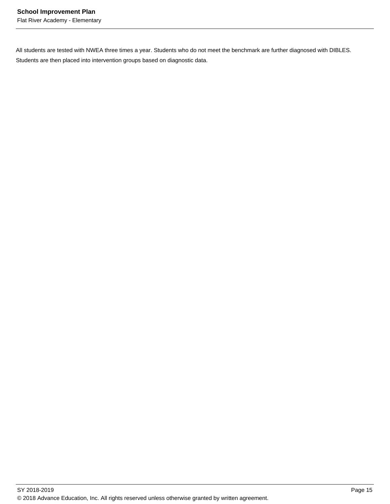Flat River Academy - Elementary

All students are tested with NWEA three times a year. Students who do not meet the benchmark are further diagnosed with DIBLES. Students are then placed into intervention groups based on diagnostic data.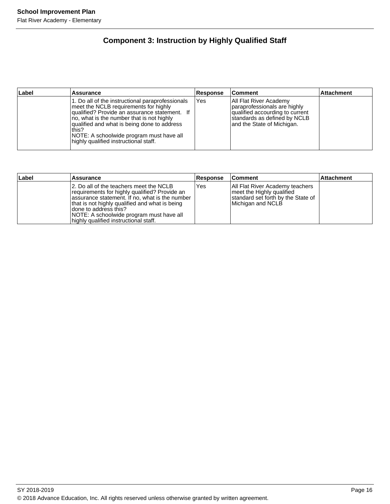## **Component 3: Instruction by Highly Qualified Staff**

| Label | <b>Assurance</b>                                                                                                                                                                                                                                                                                                                     | Response | <b>Comment</b>                                                                                                                                          | Attachment |
|-------|--------------------------------------------------------------------------------------------------------------------------------------------------------------------------------------------------------------------------------------------------------------------------------------------------------------------------------------|----------|---------------------------------------------------------------------------------------------------------------------------------------------------------|------------|
|       | 1. Do all of the instructional paraprofessionals<br>meet the NCLB requirements for highly<br>qualified? Provide an assurance statement. If<br>no, what is the number that is not highly<br>qualified and what is being done to address<br>this?<br>NOTE: A schoolwide program must have all<br>highly qualified instructional staff. | Yes      | All Flat River Academy<br>paraprofessionals are highly<br>qualified accourding to current<br>standards as defined by NCLB<br>and the State of Michigan. |            |

| Label | Assurance                                                                                                                                                                                                                                                                                                   | <b>Response</b> | <b>Comment</b>                                                                                                          | <b>Attachment</b> |
|-------|-------------------------------------------------------------------------------------------------------------------------------------------------------------------------------------------------------------------------------------------------------------------------------------------------------------|-----------------|-------------------------------------------------------------------------------------------------------------------------|-------------------|
|       | 2. Do all of the teachers meet the NCLB<br>requirements for highly qualified? Provide an<br>assurance statement. If no, what is the number<br>that is not highly qualified and what is being<br>Idone to address this?<br>NOTE: A schoolwide program must have all<br>highly qualified instructional staff. | Yes             | All Flat River Academy teachers<br>meet the Highly qualified<br>standard set forth by the State of<br>Michigan and NCLB |                   |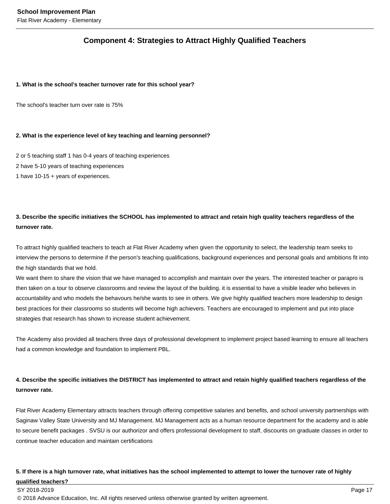### **Component 4: Strategies to Attract Highly Qualified Teachers**

#### **1. What is the school's teacher turnover rate for this school year?**

The school's teacher turn over rate is 75%

### **2. What is the experience level of key teaching and learning personnel?**

2 or 5 teaching staff 1 has 0-4 years of teaching experiences

- 2 have 5-10 years of teaching experiences
- 1 have 10-15 + years of experiences.

### **3. Describe the specific initiatives the SCHOOL has implemented to attract and retain high quality teachers regardless of the turnover rate.**

To attract highly qualified teachers to teach at Flat River Academy when given the opportunity to select, the leadership team seeks to interview the persons to determine if the person's teaching qualifications, background experiences and personal goals and ambitions fit into the high standards that we hold.

We want them to share the vision that we have managed to accomplish and maintain over the years. The interested teacher or parapro is then taken on a tour to observe classrooms and review the layout of the building. it is essential to have a visible leader who believes in accountability and who models the behavours he/she wants to see in others. We give highly qualified teachers more leadership to design best practices for their classrooms so students will become high achievers. Teachers are encouraged to implement and put into place strategies that research has shown to increase student achievement.

The Academy also provided all teachers three days of professional development to implement project based learning to ensure all teachers had a common knowledge and foundation to implement PBL.

### **4. Describe the specific initiatives the DISTRICT has implemented to attract and retain highly qualified teachers regardless of the turnover rate.**

Flat River Academy Elementary attracts teachers through offering competitive salaries and benefits, and school university partnerships with Saginaw Valley State University and MJ Management. MJ Management acts as a human resource department for the academy and is able to secure benefit packages . SVSU is our authorizor and offers professional development to staff, discounts on graduate classes in order to continue teacher education and maintain certifications

### **5. If there is a high turnover rate, what initiatives has the school implemented to attempt to lower the turnover rate of highly qualified teachers?**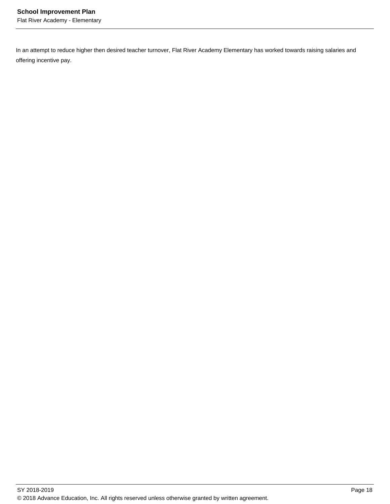In an attempt to reduce higher then desired teacher turnover, Flat River Academy Elementary has worked towards raising salaries and offering incentive pay.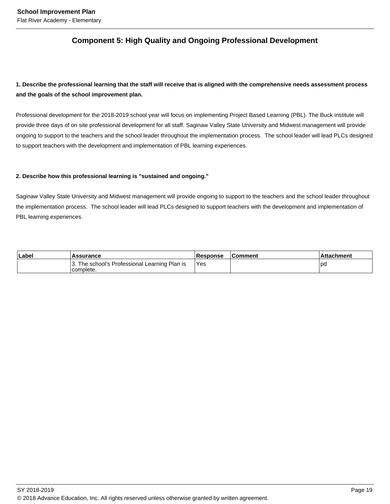### **Component 5: High Quality and Ongoing Professional Development**

### **1. Describe the professional learning that the staff will receive that is aligned with the comprehensive needs assessment process and the goals of the school improvement plan.**

Professional development for the 2018-2019 school year will focus on implementing Project Based Learning (PBL). The Buck institute will provide three days of on site professional development for all staff. Saginaw Valley State University and Midwest management will provide ongoing to support to the teachers and the school leader throughout the implementation process. The school leader will lead PLCs designed to support teachers with the development and implementation of PBL learning experiences.

### **2. Describe how this professional learning is "sustained and ongoing."**

Saginaw Valley State University and Midwest management will provide ongoing to support to the teachers and the school leader throughout the implementation process. The school leader will lead PLCs designed to support teachers with the development and implementation of PBL learning experiences.

| Labe | <b>Assurance</b>                                           | Response   | ∣Comment | <b>Attachment</b> |
|------|------------------------------------------------------------|------------|----------|-------------------|
|      | 3. The school's Professional Learning Plan is<br>complete. | <b>Yes</b> |          | l pc              |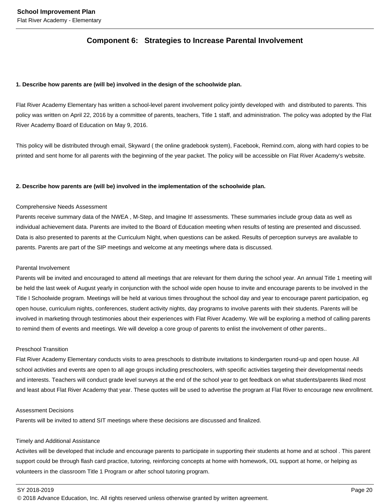### **Component 6: Strategies to Increase Parental Involvement**

#### **1. Describe how parents are (will be) involved in the design of the schoolwide plan.**

Flat River Academy Elementary has written a school-level parent involvement policy jointly developed with and distributed to parents. This policy was written on April 22, 2016 by a committee of parents, teachers, Title 1 staff, and administration. The policy was adopted by the Flat River Academy Board of Education on May 9, 2016.

This policy will be distributed through email, Skyward ( the online gradebook system), Facebook, Remind.com, along with hard copies to be printed and sent home for all parents with the beginning of the year packet. The policy will be accessible on Flat River Academy's website.

#### **2. Describe how parents are (will be) involved in the implementation of the schoolwide plan.**

#### Comprehensive Needs Assessment

Parents receive summary data of the NWEA , M-Step, and Imagine It! assessments. These summaries include group data as well as individual achievement data. Parents are invited to the Board of Education meeting when results of testing are presented and discussed. Data is also presented to parents at the Curriculum Night, when questions can be asked. Results of perception surveys are available to parents. Parents are part of the SIP meetings and welcome at any meetings where data is discussed.

#### Parental Involvement

Parents will be invited and encouraged to attend all meetings that are relevant for them during the school year. An annual Title 1 meeting will be held the last week of August yearly in conjunction with the school wide open house to invite and encourage parents to be involved in the Title I Schoolwide program. Meetings will be held at various times throughout the school day and year to encourage parent participation, eg open house, curriculum nights, conferences, student activity nights, day programs to involve parents with their students. Parents will be involved in marketing through testimonies about their experiences with Flat River Academy. We will be exploring a method of calling parents to remind them of events and meetings. We will develop a core group of parents to enlist the involvement of other parents..

#### Preschool Transition

Flat River Academy Elementary conducts visits to area preschools to distribute invitations to kindergarten round-up and open house. All school activities and events are open to all age groups including preschoolers, with specific activities targeting their developmental needs and interests. Teachers will conduct grade level surveys at the end of the school year to get feedback on what students/parents liked most and least about Flat River Academy that year. These quotes will be used to advertise the program at Flat River to encourage new enrollment.

#### Assessment Decisions

Parents will be invited to attend SIT meetings where these decisions are discussed and finalized.

#### Timely and Additional Assistance

Activites will be developed that include and encourage parents to participate in supporting their students at home and at school . This parent support could be through flash card practice, tutoring, reinforcing concepts at home with homework, IXL support at home, or helping as volunteers in the classroom Title 1 Program or after school tutoring program.

SY 2018-2019 Page 20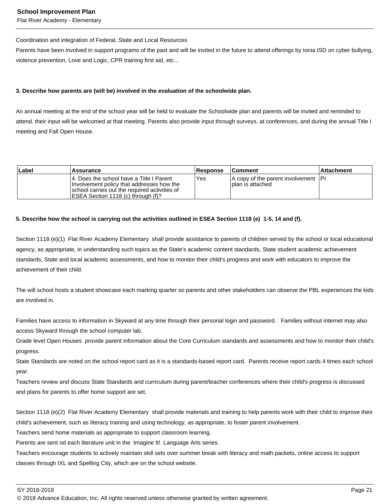Flat River Academy - Elementary

#### Coordination and integration of Federal, State and Local Resources

Parents have been involved in support programs of the past and will be invited in the future to attend offerings by Ionia ISD on cyber bullying, violence prevention, Love and Logic, CPR training first aid, etc...

### **3. Describe how parents are (will be) involved in the evaluation of the schoolwide plan.**

An annual meeting at the end of the school year will be held to evaluate the Schoolwide plan and parents will be invited and reminded to attend. their input will be welcomed at that meeting. Parents also provide input through surveys, at conferences, and during the annual Title I meeting and Fall Open House.

| Label | Assurance                                                                                                                                                                      | <b>Response</b> | <b>Comment</b>                                            | <b>Attachment</b> |
|-------|--------------------------------------------------------------------------------------------------------------------------------------------------------------------------------|-----------------|-----------------------------------------------------------|-------------------|
|       | 14. Does the school have a Title I Parent<br>Involvement policy that addresses how the<br>school carries out the required activities of<br>IESEA Section 1118 (c) through (f)? | Yes             | A copy of the parent involvement  PI<br>Iplan is attached |                   |

### **5. Describe how the school is carrying out the activities outlined in ESEA Section 1118 (e) 1-5, 14 and (f).**

Section 1118 (e)(1) Flat River Academy Elementary shall provide assistance to parents of children served by the school or local educational agency, as appropriate, in understanding such topics as the State's academic content standards, State student academic achievement standards, State and local academic assessments, and how to monitor their child's progress and work with educators to improve the achievement of their child.

The will school hosts a student showcase each marking quarter so parents and other stakeholders can observe the PBL experiences the kids are involved in.

Families have access to information in Skyward at any time through their personal login and password. Families without internet may also access Skyward through the school computer lab.

Grade level Open Houses provide parent information about the Core Curriculum standards and assessments and how to monitor their child's progress.

State Standards are noted on the school report card as it is a standards-based report card. Parents receive report cards 4 times each school year.

Teachers review and discuss State Standards and curriculum during parent/teacher conferences where their child's progress is discussed and plans for parents to offer home support are set.

Section 1118 (e)(2) Flat River Academy Elementary shall provide materials and training to help parents work with their child to improve their child's achievement, such as literacy training and using technology, as appropriate, to foster parent involvement.

Teachers send home materials as appropriate to support classroom learning.

Parents are sent od each literature unit in the Imagine It! Language Arts series.

Teachers encourage students to actively maintain skill sets over summer break with literacy and math packets, online access to support classes through IXL and Spelling City, which are on the school website.

SY 2018-2019 Page 21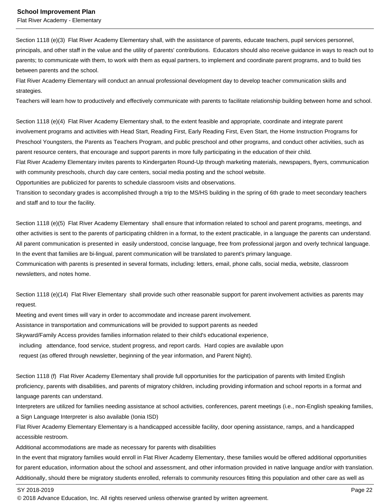Flat River Academy - Elementary

Section 1118 (e)(3) Flat River Academy Elementary shall, with the assistance of parents, educate teachers, pupil services personnel, principals, and other staff in the value and the utility of parents' contributions. Educators should also receive guidance in ways to reach out to parents; to communicate with them, to work with them as equal partners, to implement and coordinate parent programs, and to build ties between parents and the school.

Flat River Academy Elementary will conduct an annual professional development day to develop teacher communication skills and strategies.

Teachers will learn how to productively and effectively communicate with parents to facilitate relationship building between home and school.

Section 1118 (e)(4) Flat River Academy Elementary shall, to the extent feasible and appropriate, coordinate and integrate parent involvement programs and activities with Head Start, Reading First, Early Reading First, Even Start, the Home Instruction Programs for Preschool Youngsters, the Parents as Teachers Program, and public preschool and other programs, and conduct other activities, such as parent resource centers, that encourage and support parents in more fully participating in the education of their child.

Flat River Academy Elementary invites parents to Kindergarten Round-Up through marketing materials, newspapers, flyers, communication with community preschools, church day care centers, social media posting and the school website.

Opportunities are publicized for parents to schedule classroom visits and observations.

Transition to secondary grades is accomplished through a trip to the MS/HS building in the spring of 6th grade to meet secondary teachers and staff and to tour the facility.

Section 1118 (e)(5) Flat River Academy Elementary shall ensure that information related to school and parent programs, meetings, and other activities is sent to the parents of participating children in a format, to the extent practicable, in a language the parents can understand. All parent communication is presented in easily understood, concise language, free from professional jargon and overly technical language. In the event that families are bi-lingual, parent communication will be translated to parent's primary language. Communication with parents is presented in several formats, including: letters, email, phone calls, social media, website, classroom

newsletters, and notes home.

Section 1118 (e)(14) Flat River Elementary shall provide such other reasonable support for parent involvement activities as parents may request.

Meeting and event times will vary in order to accommodate and increase parent involvement. Assistance in transportation and communications will be provided to support parents as needed Skyward/Family Access provides families information related to their child's educational experience, including attendance, food service, student progress, and report cards. Hard copies are available upon request (as offered through newsletter, beginning of the year information, and Parent Night).

Section 1118 (f) Flat River Academy Elementary shall provide full opportunities for the participation of parents with limited English proficiency, parents with disabilities, and parents of migratory children, including providing information and school reports in a format and language parents can understand.

Interpreters are utilized for families needing assistance at school activities, conferences, parent meetings (i.e., non-English speaking families, a Sign Language Interpreter is also available (Ionia ISD)

Flat River Academy Elementary Elementary is a handicapped accessible facility, door opening assistance, ramps, and a handicapped accessible restroom.

Additional accommodations are made as necessary for parents with disabilities

In the event that migratory families would enroll in Flat River Academy Elementary, these families would be offered additional opportunities for parent education, information about the school and assessment, and other information provided in native language and/or with translation. Additionally, should there be migratory students enrolled, referrals to community resources fitting this population and other care as well as

SY 2018-2019 Page 22

<sup>© 2018</sup> Advance Education, Inc. All rights reserved unless otherwise granted by written agreement.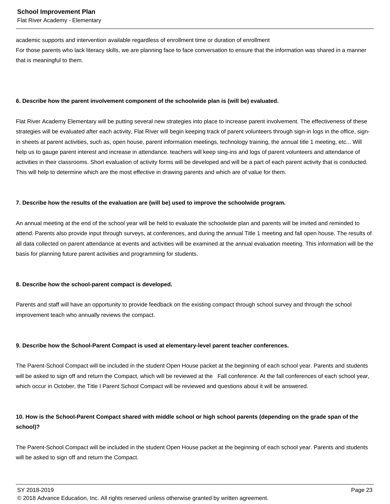Flat River Academy - Elementary

academic supports and intervention available regardless of enrollment time or duration of enrollment

For those parents who lack literacy skills, we are planning face to face conversation to ensure that the information was shared in a manner that is meaningful to them.

#### **6. Describe how the parent involvement component of the schoolwide plan is (will be) evaluated.**

Flat River Academy Elementary will be putting several new strategies into place to increase parent involvement. The effectiveness of these strategies will be evaluated after each activity, Flat River will begin keeping track of parent volunteers through sign-in logs in the office, signin sheets at parent activities, such as, open house, parent information meetings, technology training, the annual title 1 meeting, etc... Will help us to gauge parent interest and increase in attendance. teachers will keep sing-ins and logs of parent volunteers and attendance of activities in their classrooms. Short evaluation of activity forms will be developed and will be a part of each parent activity that is conducted. This will help to determine which are the most effective in drawing parents and which are of value for them.

#### **7. Describe how the results of the evaluation are (will be) used to improve the schoolwide program.**

An annual meeting at the end of the school year will be held to evaluate the schoolwide plan and parents will be invited and reminded to attend. Parents also provide input through surveys, at conferences, and during the annual Title 1 meeting and fall open house. The results of all data collected on parent attendance at events and activities will be examined at the annual evaluation meeting. This information will be the basis for planning future parent activities and programming for students.

#### **8. Describe how the school-parent compact is developed.**

Parents and staff will have an opportunity to provide feedback on the existing compact through school survey and through the school improvement teach who annually reviews the compact.

#### **9. Describe how the School-Parent Compact is used at elementary-level parent teacher conferences.**

The Parent-School Compact will be included in the student Open House packet at the beginning of each school year. Parents and students will be asked to sign off and return the Compact, which will be reviewed at the Fall conference. At the fall conferences of each school year, which occur in October, the Title I Parent School Compact will be reviewed and questions about it will be answered.

### **10. How is the School-Parent Compact shared with middle school or high school parents (depending on the grade span of the school)?**

The Parent-School Compact will be included in the student Open House packet at the beginning of each school year. Parents and students will be asked to sign off and return the Compact.

SY 2018-2019 Page 23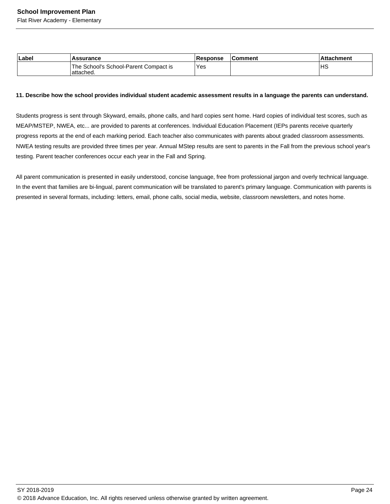Flat River Academy - Elementary

| Label | <b>Assurance</b>                                    | Response | <b>Comment</b> | ⊺Attachment |
|-------|-----------------------------------------------------|----------|----------------|-------------|
|       | The School's School-Parent Compact is<br>'attached. | Yes      |                | ΙHS         |

#### **11. Describe how the school provides individual student academic assessment results in a language the parents can understand.**

Students progress is sent through Skyward, emails, phone calls, and hard copies sent home. Hard copies of individual test scores, such as MEAP/MSTEP, NWEA, etc... are provided to parents at conferences. Individual Education Placement (IEPs parents receive quarterly progress reports at the end of each marking period. Each teacher also communicates with parents about graded classroom assessments. NWEA testing results are provided three times per year. Annual MStep results are sent to parents in the Fall from the previous school year's testing. Parent teacher conferences occur each year in the Fall and Spring.

All parent communication is presented in easily understood, concise language, free from professional jargon and overly technical language. In the event that families are bi-lingual, parent communication will be translated to parent's primary language. Communication with parents is presented in several formats, including: letters, email, phone calls, social media, website, classroom newsletters, and notes home.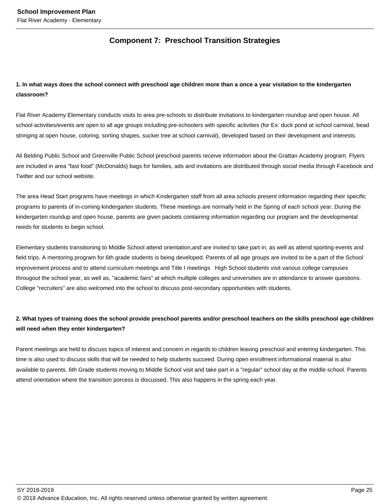### **Component 7: Preschool Transition Strategies**

### **1. In what ways does the school connect with preschool age children more than a once a year visitation to the kindergarten classroom?**

Flat River Academy Elementary conducts visits to area pre-schools to distribute invitations to kindergarten roundup and open house. All school activities/events are open to all age groups including pre-schoolers with specific activities (for Ex: duck pond at school carnival, bead stringing at open house, coloring, sorting shapes, sucker tree at school carnival), developed based on their development and interests.

All Belding Public School and Greenville Public School preschool parents receive information about the Grattan Academy program. Flyers are included in area "fast food" (McDonalds} bags for families, ads and invitations are distributed through social media through Facebook and Twitter and our school website.

The area Head Start programs have meetings in which Kindergarten staff from all area schools present information regarding their specific programs to parents of in-coming kindergarten students. These meetings are normally held in the Spring of each school year. During the kindergarten roundup and open house, parents are given packets containing information regarding our program and the developmental needs for students to begin school.

Elementary students transitioning to Middle School attend orientation,and are invited to take part in, as well as attend sporting events and field trips. A mentoring program for 6th grade students is being developed. Parents of all age groups are invited to be a part of the School improvement process and to attend curriculum meetings and Title I meetings High School students visit various college campuses througout the school year, as well as, "academic fairs" at which multiple colleges and universities are in attendance to answer questions. College "recruiters" are also welcomed into the school to discuss post-secondary opportunities with students.

### **2. What types of training does the school provide preschool parents and/or preschool teachers on the skills preschool age children will need when they enter kindergarten?**

Parent meetings are held to discuss topics of interest and concern in regards to children leaving preschool and entering kindergarten. This time is also used to discuss skills that will be needed to help students succeed. During open enrollment informational material is also available to parents. 6th Grade students moving to Middle School visit and take part in a "regular" school day at the middle school. Parents attend orientation where the transition porcess is discussed. This also happens in the spring each year.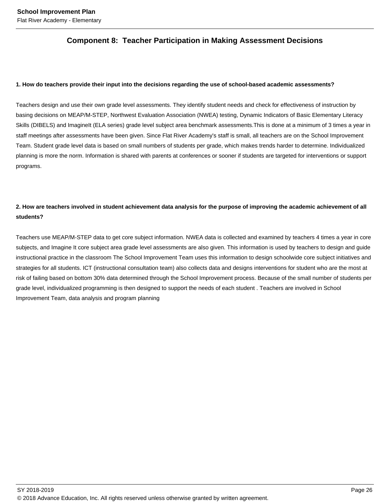### **Component 8: Teacher Participation in Making Assessment Decisions**

### **1. How do teachers provide their input into the decisions regarding the use of school-based academic assessments?**

Teachers design and use their own grade level assessments. They identify student needs and check for effectiveness of instruction by basing decisions on MEAP/M-STEP, Northwest Evaluation Association (NWEA) testing, Dynamic Indicators of Basic Elementary Literacy Skills (DIBELS) and ImagineIt (ELA series) grade level subject area benchmark assessments.This is done at a minimum of 3 times a year in staff meetings after assessments have been given. Since Flat River Academy's staff is small, all teachers are on the School Improvement Team. Student grade level data is based on small numbers of students per grade, which makes trends harder to determine. Individualized planning is more the norm. Information is shared with parents at conferences or sooner if students are targeted for interventions or support programs.

### **2. How are teachers involved in student achievement data analysis for the purpose of improving the academic achievement of all students?**

Teachers use MEAP/M-STEP data to get core subject information. NWEA data is collected and examined by teachers 4 times a year in core subjects, and Imagine It core subject area grade level assessments are also given. This information is used by teachers to design and guide instructional practice in the classroom The School Improvement Team uses this information to design schoolwide core subject initiatives and strategies for all students. ICT (instructional consultation team) also collects data and designs interventions for student who are the most at risk of failing based on bottom 30% data determined through the School Improvement process. Because of the small number of students per grade level, individualized programming is then designed to support the needs of each student . Teachers are involved in School Improvement Team, data analysis and program planning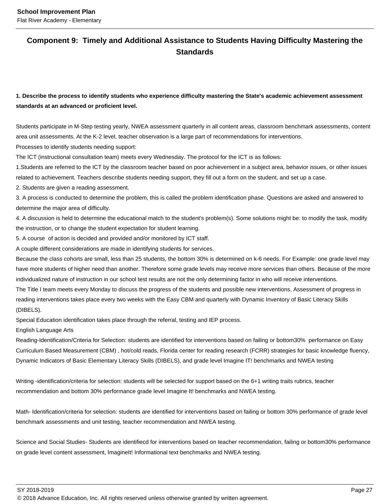### **Component 9: Timely and Additional Assistance to Students Having Difficulty Mastering the Standards**

### **1. Describe the process to identify students who experience difficulty mastering the State's academic achievement assessment standards at an advanced or proficient level.**

Students participate in M-Step testing yearly, NWEA assessment quarterly in all content areas, classroom benchmark assessments, content area unit assessments. At the K-2 level, teacher observation is a large part of recommendations for interventions.

Processes to identify students needing support:

The ICT (instructional consultation team) meets every Wednesday. The protocol for the ICT is as follows:

1.Students are referred to the ICT by the classroom teacher based on poor achievement in a subject area, behavior issues, or other issues related to achievement. Teachers describe students needing support, they fill out a form on the student, and set up a case.

2. Students are given a reading assessment.

3. A process is conducted to determine the problem, this is called the problem identification phase. Questions are asked and answered to determine the major area of difficulty.

4. A discussion is held to determine the educational match to the student's problem(s). Some solutions might be: to modify the task, modify the instruction, or to change the student expectation for student learning.

5. A course of action is decided and provided and/or monitored by ICT staff.

A couple different considerations are made in identifying students for services.

Because the class cohorts are small, less than 25 students, the bottom 30% is determined on k-6 needs. For Example: one grade level may have more students of higher need than another. Therefore some grade levels may receive more services than others. Because of the more individualized nature of instruction in our school test results are not the only determining factor in who will receive interventions.

The Title I team meets every Monday to discuss the progress of the students and possible new interventions. Assessment of progress in reading interventions takes place every two weeks with the Easy CBM and quarterly with Dynamic Inventory of Basic Literacy Skills (DIBELS).

Special Education identification takes place through the referral, testing and IEP process.

English Language Arts

Reading-Identification/Criteria for Selection: students are identified for interventions based on failing or bottom30% performance on Easy Curriculum Based Measurement (CBM) , hot/cold reads, Florida center for reading research (FCRR) strategies for basic knowledge fluency, Dynamic Indicators of Basic Elementary Literacy Skills (DIBELS), and grade level Imagine IT! benchmarks and NWEA testing

Writing -identification/criteria for selection: students will be selected for support based on the 6+1 writing traits rubrics, teacher recommendation and bottom 30% performance grade level Imagine It! benchmarks and NWEA testing.

Math- Identification/criteria for selection: students are identified for interventions based on failing or bottom 30% performance of grade level benchmark assessments and unit testing, teacher recommendation and NWEA testing.

Science and Social Studies- Students are identifiecd for interventions based on teacher recommendation, failing or bottom30% performance on grade level content assessment, ImagineIt! Informational text benchmarks and NWEA testing.

SY 2018-2019 Page 27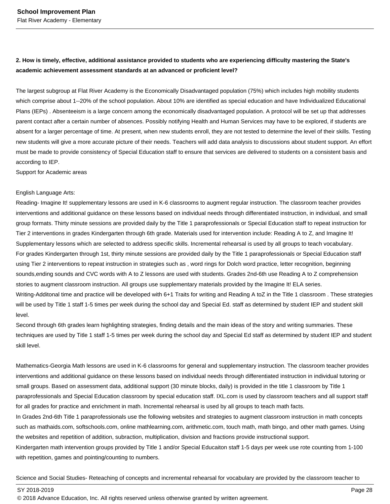### **2. How is timely, effective, additional assistance provided to students who are experiencing difficulty mastering the State's academic achievement assessment standards at an advanced or proficient level?**

The largest subgroup at Flat River Academy is the Economically Disadvantaged population (75%) which includes high mobility students which comprise about 1--20% of the school population. About 10% are identified as special education and have Individualized Educational Plans (IEPs) . Absenteeism is a large concern among the economically disadvantaged population. A protocol will be set up that addresses parent contact after a certain number of absences. Possibly notifying Health and Human Services may have to be explored, if students are absent for a larger percentage of time. At present, when new students enroll, they are not tested to determine the level of their skills. Testing new students will give a more accurate picture of their needs. Teachers will add data analysis to discussions about student support. An effort must be made to provide consistency of Special Education staff to ensure that services are delivered to students on a consistent basis and according to IEP.

Support for Academic areas

#### English Language Arts:

Reading- Imagine It! supplementary lessons are used in K-6 classrooms to augment regular instruction. The classroom teacher provides interventions and additional guidance on these lessons based on individual needs through differentiated instruction, in individual, and small group formats. Thirty minute sessions are provided daily by the Title 1 paraprofessionals or Special Education staff to repeat instruction for Tier 2 interventions in grades Kindergarten through 6th grade. Materials used for intervention include: Reading A to Z, and Imagine It! Supplementary lessons which are selected to address specific skills. Incremental rehearsal is used by all groups to teach vocabulary. For grades Kindergarten through 1st, thirty minute sessions are provided daily by the Title 1 paraprofessionals or Special Education staff using Tier 2 interventions to repeat instruction in strategies such as , word rings for Dolch word practice, letter recognition, beginning sounds,ending sounds and CVC words with A to Z lessons are used with students. Grades 2nd-6th use Reading A to Z comprehension stories to augment classroom instruction. All groups use supplementary materials provided by the Imagine It! ELA series. Writing-Additonal time and practice will be developed with 6+1 Traits for writing and Reading A toZ in the Title 1 classroom . These strategies will be used by Title 1 staff 1-5 times per week during the school day and Special Ed. staff as determined by student IEP and student skill level.

Second through 6th grades learn highlighting strategies, finding details and the main ideas of the story and writing summaries. These techniques are used by Title 1 staff 1-5 times per week during the school day and Special Ed staff as determined by student IEP and student skill level.

Mathematics-Georgia Math lessons are used in K-6 classrooms for general and supplementary instruction. The classroom teacher provides interventions and additional guidance on these lessons based on individual needs through differentiated instruction in individual tutoring or small groups. Based on assessment data, additional support (30 minute blocks, daily) is provided in the title 1 classroom by Title 1 paraprofessionals and Special Education classroom by special education staff. IXL.com is used by classroom teachers and all support staff for all grades for practice and enrichment in math. Incremental rehearsal is used by all groups to teach math facts. In Grades 2nd-6th Title 1 paraprofessionals use the following websites and strategies to augment classroom instruction in math concepts such as mathaids.com, softschools.com, online mathlearning.com, arithmetic.com, touch math, math bingo, and other math games. Using the websites and repetition of addition, subraction, multiplication, division and fractions provide instructional support. Kindergarten math intervention groups provided by Title 1 and/or Special Educaiton staff 1-5 days per week use rote counting from 1-100 with repetition, games and pointing/counting to numbers.

Science and Social Studies- Reteaching of concepts and incremental rehearsal for vocabulary are provided by the classroom teacher to

SY 2018-2019 Page 28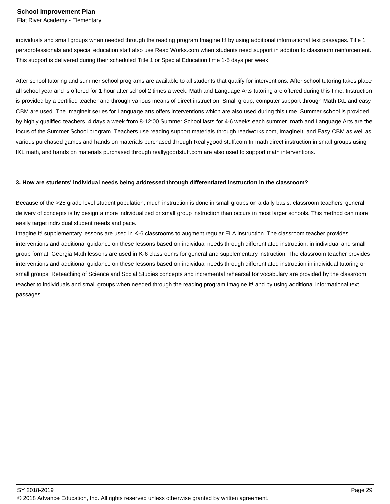Flat River Academy - Elementary

individuals and small groups when needed through the reading program Imagine It! by using additional informational text passages. Title 1 paraprofessionals and special education staff also use Read Works.com when students need support in additon to classroom reinforcement. This support is delivered during their scheduled Title 1 or Special Education time 1-5 days per week.

After school tutoring and summer school programs are available to all students that qualify for interventions. After school tutoring takes place all school year and is offered for 1 hour after school 2 times a week. Math and Language Arts tutoring are offered during this time. Instruction is provided by a certified teacher and through various means of direct instruction. Small group, computer support through Math IXL and easy CBM are used. The ImagineIt series for Language arts offers interventions which are also used during this time. Summer school is provided by highly qualified teachers. 4 days a week from 8-12:00 Summer School lasts for 4-6 weeks each summer. math and Language Arts are the focus of the Summer School program. Teachers use reading support materials through readworks.com, ImagineIt, and Easy CBM as well as various purchased games and hands on materials purchased through Reallygood stuff.com In math direct instruction in small groups using IXL math, and hands on materials purchased through reallygoodstuff.com are also used to support math interventions.

#### **3. How are students' individual needs being addressed through differentiated instruction in the classroom?**

Because of the >25 grade level student population, much instruction is done in small groups on a daily basis. classroom teachers' general delivery of concepts is by design a more individualized or small group instruction than occurs in most larger schools. This method can more easily target individual student needs and pace.

Imagine It! supplementary lessons are used in K-6 classrooms to augment regular ELA instruction. The classroom teacher provides interventions and additional guidance on these lessons based on individual needs through differentiated instruction, in individual and small group format. Georgia Math lessons are used in K-6 classrooms for general and supplementary instruction. The classroom teacher provides interventions and additional guidance on these lessons based on individual needs through differentiated instruction in individual tutoring or small groups. Reteaching of Science and Social Studies concepts and incremental rehearsal for vocabulary are provided by the classroom teacher to individuals and small groups when needed through the reading program Imagine It! and by using additional informational text passages.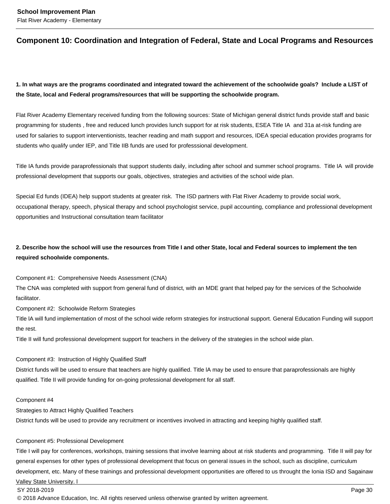### **Component 10: Coordination and Integration of Federal, State and Local Programs and Resources**

### **1. In what ways are the programs coordinated and integrated toward the achievement of the schoolwide goals? Include a LIST of the State, local and Federal programs/resources that will be supporting the schoolwide program.**

Flat River Academy Elementary received funding from the following sources: State of Michigan general district funds provide staff and basic programming for students , free and reduced lunch provides lunch support for at risk students, ESEA Title IA and 31a at-risk funding are used for salaries to support interventionists, teacher reading and math support and resources, IDEA special education provides programs for students who qualify under IEP, and Title IIB funds are used for professsional development.

Title IA funds provide paraprofessionals that support students daily, including after school and summer school programs. Title IA will provide professional development that supports our goals, objectives, strategies and activities of the school wide plan.

Special Ed funds (IDEA) help support students at greater risk. The ISD partners with Flat River Academy to provide social work, occupational therapy, speech, physical therapy and school psychologist service, pupil accounting, compliance and professional development opportunities and Instructional consultation team facilitator

### **2. Describe how the school will use the resources from Title I and other State, local and Federal sources to implement the ten required schoolwide components.**

Component #1: Comprehensive Needs Assessment (CNA)

The CNA was completed with support from general fund of district, with an MDE grant that helped pay for the services of the Schoolwide facilitator.

Component #2: Schoolwide Reform Strategies

Title lA will fund implementation of most of the school wide reform strategies for instructional support. General Education Funding will support the rest.

Title II will fund professional development support for teachers in the delivery of the strategies in the school wide plan.

### Component #3: Instruction of Highly Qualified Staff

District funds will be used to ensure that teachers are highly qualified. Title lA may be used to ensure that paraprofessionals are highly qualified. Title II will provide funding for on-going professional development for all staff.

#### Component #4

Strategies to Attract Highly Qualified Teachers

District funds will be used to provide any recruitment or incentives involved in attracting and keeping highly qualified staff.

#### Component #5: Professional Development

Title I will pay for conferences, workshops, training sessions that involve learning about at risk students and programming. Title II will pay for general expenses for other types of professional development that focus on general issues in the school, such as discipline, curriculum development, etc. Many of these trainings and professional development opportunities are offered to us throught the Ionia ISD and Sagainaw Valley State University. l

SY 2018-2019 Page 30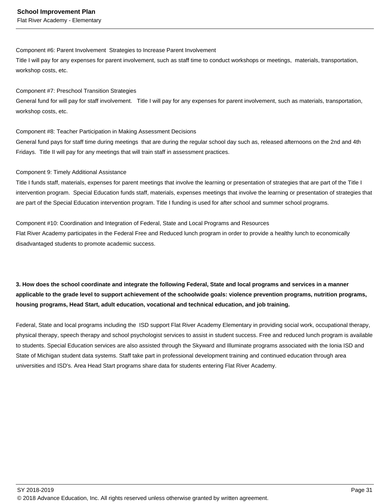#### Component #6: Parent Involvement Strategies to Increase Parent Involvement

Title I will pay for any expenses for parent involvement, such as staff time to conduct workshops or meetings, materials, transportation, workshop costs, etc.

### Component #7: Preschool Transition Strategies

General fund for will pay for staff involvement. Title I will pay for any expenses for parent involvement, such as materials, transportation, workshop costs, etc.

### Component #8: Teacher Participation in Making Assessment Decisions

General fund pays for staff time during meetings that are during the regular school day such as, released afternoons on the 2nd and 4th Fridays. Title II will pay for any meetings that will train staff in assessment practices.

### Component 9: Timely Additional Assistance

Title I funds staff, materials, expenses for parent meetings that involve the learning or presentation of strategies that are part of the Title I intervention program. Special Education funds staff, materials, expenses meetings that involve the learning or presentation of strategies that are part of the Special Education intervention program. Title I funding is used for after school and summer school programs.

Component #10: Coordination and Integration of Federal, State and Local Programs and Resources Flat River Academy participates in the Federal Free and Reduced lunch program in order to provide a healthy lunch to economically disadvantaged students to promote academic success.

### **3. How does the school coordinate and integrate the following Federal, State and local programs and services in a manner applicable to the grade level to support achievement of the schoolwide goals: violence prevention programs, nutrition programs, housing programs, Head Start, adult education, vocational and technical education, and job training.**

Federal, State and local programs including the ISD support Flat River Academy Elementary in providing social work, occupational therapy, physical therapy, speech therapy and school psychologist services to assist in student success. Free and reduced lunch program is available to students. Special Education services are also assisted through the Skyward and Illuminate programs associated with the Ionia ISD and State of Michigan student data systems. Staff take part in professional development training and continued education through area universities and ISD's. Area Head Start programs share data for students entering Flat River Academy.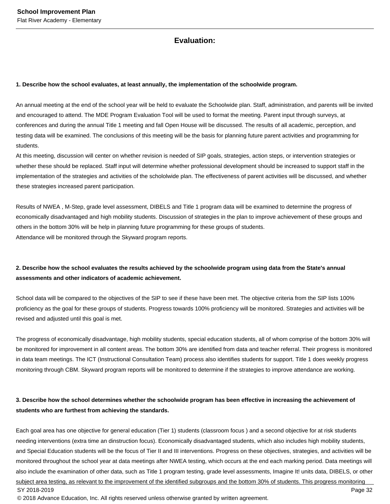### **Evaluation:**

#### **1. Describe how the school evaluates, at least annually, the implementation of the schoolwide program.**

An annual meeting at the end of the school year will be held to evaluate the Schoolwide plan. Staff, administration, and parents will be invited and encouraged to attend. The MDE Program Evaluation Tool will be used to format the meeting. Parent input through surveys, at conferences and during the annual Title 1 meeting and fall Open House will be discussed. The results of all academic, perception, and testing data will be examined. The conclusions of this meeting will be the basis for planning future parent activities and programming for students.

At this meeting, discussion will center on whether revision is needed of SIP goals, strategies, action steps, or intervention strategies or whether these should be replaced. Staff input will determine whether professional development should be increased to support staff in the implementation of the strategies and activities of the schololwide plan. The effectiveness of parent activities will be discussed, and whether these strategies increased parent participation.

Results of NWEA , M-Step, grade level assessment, DIBELS and Title 1 program data will be examined to determine the progress of economically disadvantaged and high mobility students. Discussion of strategies in the plan to improve achievement of these groups and others in the bottom 30% will be help in planning future programming for these groups of students. Attendance will be monitored through the Skyward program reports.

### **2. Describe how the school evaluates the results achieved by the schoolwide program using data from the State's annual assessments and other indicators of academic achievement.**

School data will be compared to the objectives of the SIP to see if these have been met. The objective criteria from the SIP lists 100% proficiency as the goal for these groups of students. Progress towards 100% proficiency will be monitored. Strategies and activities will be revised and adjusted until this goal is met.

The progress of economically disadvantage, high mobility students, special education students, all of whom comprise of the bottom 30% will be monitored for improvement in all content areas. The bottom 30% are identified from data and teacher referral. Their progress is monitored in data team meetings. The ICT (Instructional Consultation Team) process also identifies students for support. Title 1 does weekly progress monitoring through CBM. Skyward program reports will be monitored to determine if the strategies to improve attendance are working.

### **3. Describe how the school determines whether the schoolwide program has been effective in increasing the achievement of students who are furthest from achieving the standards.**

Each goal area has one objective for general education (Tier 1) students (classroom focus ) and a second objective for at risk students needing interventions (extra time an dinstruction focus). Economically disadvantaged students, which also includes high mobility students, and Special Education students will be the focus of Tier II and III interventions. Progress on these objectives, strategies, and activities will be monitored throughout the school year at data meetings after NWEA testing, which occurs at the end each marking period. Data meetings will also include the examination of other data, such as Title 1 program testing, grade level assessments, Imagine It! units data, DIBELS, or other subject area testing, as relevant to the improvement of the identified subgroups and the bottom 30% of students. This progress monitoring SY 2018-2019 Page 32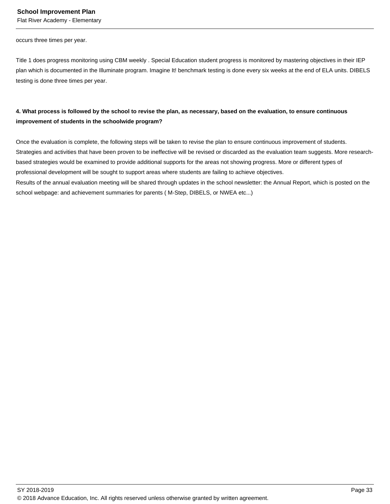Flat River Academy - Elementary

occurs three times per year.

Title 1 does progress monitoring using CBM weekly . Special Education student progress is monitored by mastering objectives in their IEP plan which is documented in the Illuminate program. Imagine It! benchmark testing is done every six weeks at the end of ELA units. DIBELS testing is done three times per year.

### **4. What process is followed by the school to revise the plan, as necessary, based on the evaluation, to ensure continuous improvement of students in the schoolwide program?**

Once the evaluation is complete, the following steps will be taken to revise the plan to ensure continuous improvement of students. Strategies and activities that have been proven to be ineffective will be revised or discarded as the evaluation team suggests. More researchbased strategies would be examined to provide additional supports for the areas not showing progress. More or different types of professional development will be sought to support areas where students are failing to achieve objectives. Results of the annual evaluation meeting will be shared through updates in the school newsletter: the Annual Report, which is posted on the

school webpage: and achievement summaries for parents ( M-Step, DIBELS, or NWEA etc...)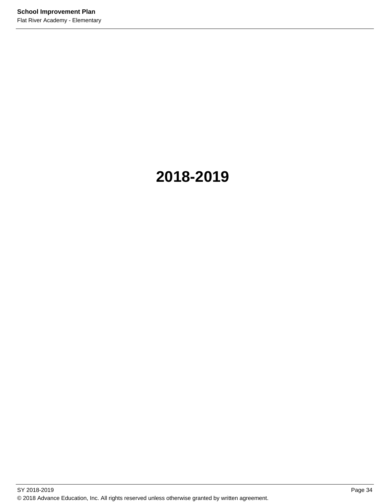# **2018-2019**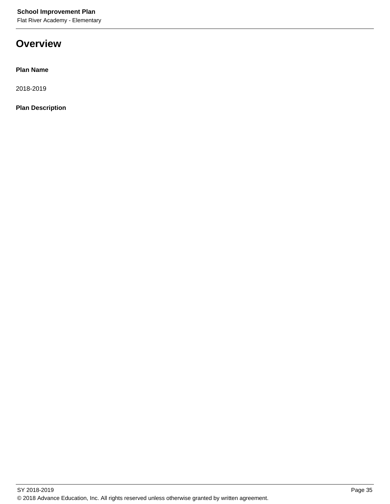Flat River Academy - Elementary

## **Overview**

**Plan Name**

2018-2019

**Plan Description**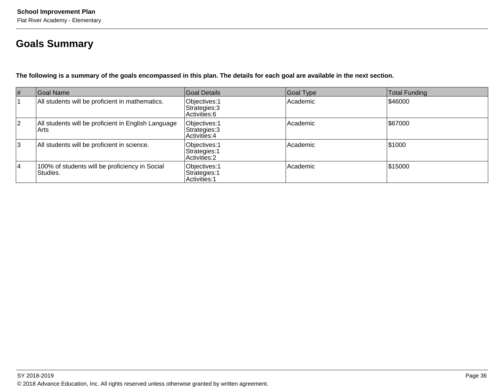# **Goals Summary**

**The following is a summary of the goals encompassed in this plan. The details for each goal are available in the next section.**

| #  | Goal Name                                                   | Goal Details                                    | Goal Type | Total Funding |
|----|-------------------------------------------------------------|-------------------------------------------------|-----------|---------------|
|    | All students will be proficient in mathematics.             | Objectives: 1<br>Strategies: 3<br>Activities: 6 | Academic  | \$46000       |
| 2  | All students will be proficient in English Language<br>Arts | Objectives: 1<br>Strategies: 3<br>Activities: 4 | Academic  | \$67000       |
| 3  | All students will be proficient in science.                 | Objectives: 1<br>Strategies: 1<br>Activities: 2 | Academic  | \$1000        |
| 14 | 100% of students will be proficiency in Social<br>Studies.  | Objectives: 1<br>Strategies: 1<br>Activities: 1 | Academic  | \$15000       |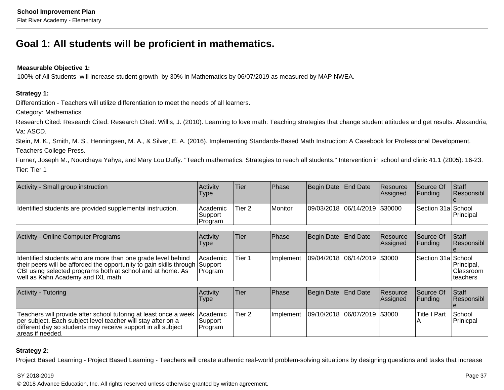# **Goal 1: All students will be proficient in mathematics.**

### **Measurable Objective 1:**

100% of All Students will increase student growth by 30% in Mathematics by 06/07/2019 as measured by MAP NWEA.

### **Strategy 1:**

Differentiation - Teachers will utilize differentiation to meet the needs of all learners.

Category: Mathematics

Research Cited: Research Cited: Research Cited: Willis, J. (2010). Learning to love math: Teaching strategies that change student attitudes and get results. Alexandria, Va: ASCD.

Stein, M. K., Smith, M. S., Henningsen, M. A., & Silver, E. A. (2016). Implementing Standards-Based Math Instruction: A Casebook for Professional Development.Teachers College Press.

Furner, Joseph M., Noorchaya Yahya, and Mary Lou Duffy. "Teach mathematics: Strategies to reach all students." Intervention in school and clinic 41.1 (2005): 16-23.Tier: Tier 1

| Activity - Small group instruction                         | Activity<br>Type                | 'Tier   | <b>Phase</b> | Begin Date End Date           | Resource<br> Assigned | Source Of<br><b>IFundina</b> | Staff<br>Responsibl |
|------------------------------------------------------------|---------------------------------|---------|--------------|-------------------------------|-----------------------|------------------------------|---------------------|
| Identified students are provided supplemental instruction. | Academic <br>Support<br>Program | 'Tier 2 | Monitor      | 09/03/2018 06/14/2019 \$30000 |                       | Section 31a School           | <b>Principal</b>    |

| <b>Activity - Online Computer Programs</b>                                                                                                                                                                                                     | <b>Activity</b><br>Type            | 'Tier  | <b>Phase</b>                                 | Begin Date End Date | <b>Resource</b><br>Assigned | <b>Source Of</b><br><b>IFundina</b> | <b>Staff</b><br>Responsibl                  |
|------------------------------------------------------------------------------------------------------------------------------------------------------------------------------------------------------------------------------------------------|------------------------------------|--------|----------------------------------------------|---------------------|-----------------------------|-------------------------------------|---------------------------------------------|
| Identified students who are more than one grade level behind<br>their peers will be afforded the opportunity to gain skills through Support<br>CBI using selected programs both at school and at home. As<br>well as Kahn Academy and IXL math | <b>Academic</b><br><b>IProgram</b> | Tier 1 | Implement   09/04/2018   06/14/2019   \$3000 |                     |                             | Section 31a School                  | Principal,<br><b>Classroom</b><br>Iteachers |

| Activity - Tutoring                                                                                                                                                                                                            | Activity<br>Type    | ∣Tier  | <b>IPhase</b>                                | Begin Date End Date | <b>Resource</b><br><b>IAssianed</b> | <b>Source Of</b><br><b>IFunding</b> | <b>Staff</b><br><b>Responsibl</b> |
|--------------------------------------------------------------------------------------------------------------------------------------------------------------------------------------------------------------------------------|---------------------|--------|----------------------------------------------|---------------------|-------------------------------------|-------------------------------------|-----------------------------------|
| Teachers will provide after school tutoring at least once a week Academic<br>per subject. Each subject level teacher will stay after on a<br>different day so students may receive support in all subject<br>lareas if needed. | Support<br> Program | Tier 2 | Implement   09/10/2018   06/07/2019   \$3000 |                     |                                     | <b>Title I Part</b>                 | School<br>Prinicpal               |

### **Strategy 2:**

Project Based Learning - Project Based Learning - Teachers will create authentic real-world problem-solving situations by designing questions and tasks that increase

### SY 2018-2019

en and the state of the state of the state of the state of the state of the state of the state of the state of the state of the state of the state of the state of the state of the state of the state of the state of the sta © 2018 Advance Education, Inc. All rights reserved unless otherwise granted by written agreement.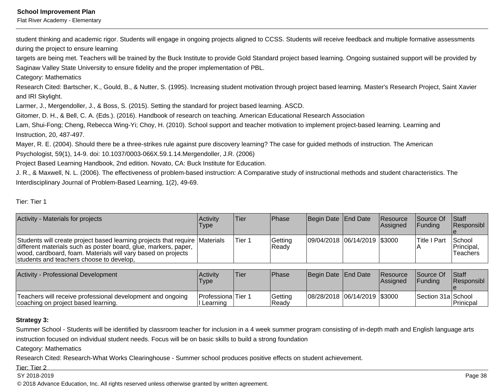Flat River Academy - Elementary

student thinking and academic rigor. Students will engage in ongoing projects aligned to CCSS. Students will receive feedback and multiple formative assessmentsduring the project to ensure learning

 targets are being met. Teachers will be trained by the Buck Institute to provide Gold Standard project based learning. Ongoing sustained support will be provided bySaginaw Valley State University to ensure fidelity and the proper implementation of PBL.

Category: Mathematics

Research Cited: Bartscher, K., Gould, B., & Nutter, S. (1995). Increasing student motivation through project based learning. Master's Research Project, Saint Xavierand IRI Skylight.

Larmer, J., Mergendoller, J., & Boss, S. (2015). Setting the standard for project based learning. ASCD.

Gitomer, D. H., & Bell, C. A. (Eds.). (2016). Handbook of research on teaching. American Educational Research Association

Lam, Shui-Fong; Cheng, Rebecca Wing-Yi; Choy, H. (2010). School support and teacher motivation to implement project-based learning. Learning andInstruction, 20, 487-497.

Mayer, R. E. (2004). Should there be a three-strikes rule against pure discovery learning? The case for guided methods of instruction. The AmericanPsychologist, 59(1), 14-9. doi: 10.1037/0003-066X.59.1.14.Mergendoller, J.R. (2006)

Project Based Learning Handbook, 2nd edition. Novato, CA: Buck Institute for Education.

J. R., & Maxwell, N. L. (2006). The effectiveness of problem-based instruction: A Comparative study of instructional methods and student characteristics. TheInterdisciplinary Journal of Problem-Based Learning, 1(2), 49-69.

### Tier: Tier 1

| Activity - Materials for projects                                                                                                                                                                                                                          | Activity<br><b>Type</b> | lTier  | <b>IPhase</b>    | Begin Date End Date          | <b>Resource</b><br><b>Assigned</b> | <b>Source Of</b><br><b>IFunding</b> | <b>Staff</b><br>Responsibl               |
|------------------------------------------------------------------------------------------------------------------------------------------------------------------------------------------------------------------------------------------------------------|-------------------------|--------|------------------|------------------------------|------------------------------------|-------------------------------------|------------------------------------------|
| Students will create project based learning projects that require Materials<br>different materials such as poster board, glue, markers, paper,<br>wood, cardboard, foam. Materials will vary based on projects<br>students and teachers choose to develop, |                         | Tier 1 | Getting<br>Ready | 09/04/2018 06/14/2019 \$3000 |                                    | <b>Title I Part</b>                 | <b>School</b><br>'Principal,<br>Teachers |

| Activity - Professional Development                                                               | Activitv<br><b>Type</b>                  | 'Tier | Phase             | Begin Date End Date          | <b>Resource</b><br><b>Assigned</b> | <b>Source Of</b><br><b>IFundina</b> | Staff<br><b>Responsibl</b> |
|---------------------------------------------------------------------------------------------------|------------------------------------------|-------|-------------------|------------------------------|------------------------------------|-------------------------------------|----------------------------|
| Teachers will receive professional development and ongoing<br>coaching on project based learning. | <b>IProfessionalTier 1</b><br>I Learning |       | Getting<br>IReadv | 08/28/2018 06/14/2019 \$3000 |                                    | Section 31a School                  | <b>IPrinicpal</b>          |

### **Strategy 3:**

Summer School - Students will be identified by classroom teacher for inclusion in a 4 week summer program consisting of in-depth math and English language artsinstruction focused on individual student needs. Focus will be on basic skills to build a strong foundation

Category: Mathematics

Research Cited: Research-What Works Clearinghouse - Summer school produces positive effects on student achievement.

Tier: Tier 2

SY 2018-2019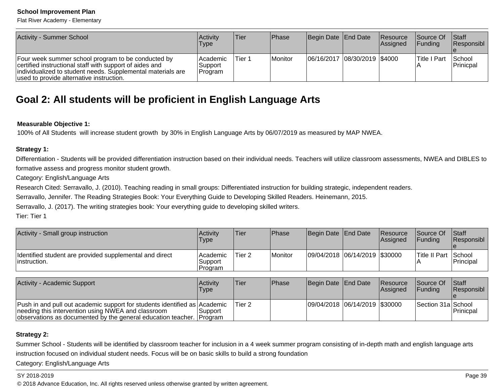Flat River Academy - Elementary

| Activity - Summer School                                                                                                                                                                                                 | Activity<br>Type                    | 'Tier  | <b>IPhase</b> | Begin Date End Date          | <b>Resource</b><br><b>Assigned</b> | <b>Source Of</b><br><b>IFunding</b> | <b>Staff</b><br>Responsibl |
|--------------------------------------------------------------------------------------------------------------------------------------------------------------------------------------------------------------------------|-------------------------------------|--------|---------------|------------------------------|------------------------------------|-------------------------------------|----------------------------|
| Four week summer school program to be conducted by<br>certified instructional staff with support of aides and<br>individualized to student needs. Supplemental materials are<br>used to provide alternative instruction. | l Academic<br> Support <br> Program | Tier 1 | Monitor       | 06/16/2017 08/30/2019 \$4000 |                                    | <b>ITitle I Part</b>                | School<br>Prinicpal        |

# **Goal 2: All students will be proficient in English Language Arts**

### **Measurable Objective 1:**

100% of All Students will increase student growth by 30% in English Language Arts by 06/07/2019 as measured by MAP NWEA.

### **Strategy 1:**

Differentiation - Students will be provided differentiation instruction based on their individual needs. Teachers will utilize classroom assessments, NWEA and DIBLES toformative assess and progress monitor student growth.

Category: English/Language Arts

Research Cited: Serravallo, J. (2010). Teaching reading in small groups: Differentiated instruction for building strategic, independent readers.

Serravallo, Jennifer. The Reading Strategies Book: Your Everything Guide to Developing Skilled Readers. Heinemann, 2015.

Serravallo, J. (2017). The writing strategies book: Your everything guide to developing skilled writers.

Tier: Tier 1

| Activity - Small group instruction                                       | Activity<br><b>Type</b>        | <b>Tier</b> | <b>Phase</b> | Begin Date End Date           | Resource<br>Assigned | <b>Source Of</b><br><b>IFundina</b> | <b>Staff</b><br><b>Responsibl</b> |
|--------------------------------------------------------------------------|--------------------------------|-------------|--------------|-------------------------------|----------------------|-------------------------------------|-----------------------------------|
| Identified student are provided supplemental and direct<br>'instruction. | Academic<br>Support<br>Program | Tier 2      | Monitor      | 09/04/2018 06/14/2019 \$30000 |                      | Title II Part School                | <b>IPrincipal</b>                 |

| Activity - Academic Support                                                                                                                                                                               | ∣Activit∨<br>Type | lTier.  | <b>IPhase</b> | Begin Date End Date           | <b>Resource</b><br><b>Assigned</b> | <b>Source Of</b><br><b>IFunding</b> | <b>Staff</b><br>Responsibl |
|-----------------------------------------------------------------------------------------------------------------------------------------------------------------------------------------------------------|-------------------|---------|---------------|-------------------------------|------------------------------------|-------------------------------------|----------------------------|
| Push in and pull out academic support for students identified as Academic<br>needing this intervention using NWEA and classroom<br>observations as documented by the general education teacher. [Program] | Support           | lTier 2 |               | 09/04/2018 06/14/2019 \$30000 |                                    | Section 31a School                  | <b>Prinicpal</b>           |

### **Strategy 2:**

Summer School - Students will be identified by classroom teacher for inclusion in a 4 week summer program consisting of in-depth math and english language artsinstruction focused on individual student needs. Focus will be on basic skills to build a strong foundation

Category: English/Language Arts

### SY 2018-2019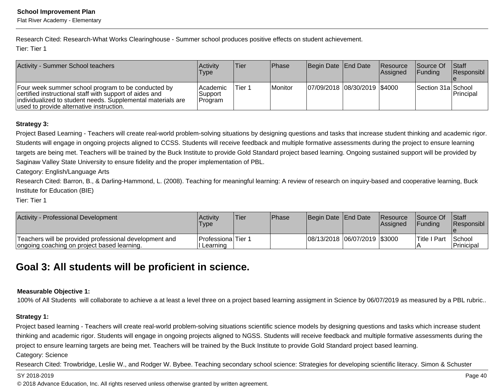Flat River Academy - Elementary

Research Cited: Research-What Works Clearinghouse - Summer school produces positive effects on student achievement.Tier: Tier 1

| Activity - Summer School teachers                                                                                                                                                                                        | Activity<br><b>Type</b>                 | 'Tier  | <b>IPhase</b> | Begin Date End Date              | <b>Resource</b><br>Assigned | <b>Source Of</b><br><b>IFundina</b> | <b>Staff</b><br>Responsibl |
|--------------------------------------------------------------------------------------------------------------------------------------------------------------------------------------------------------------------------|-----------------------------------------|--------|---------------|----------------------------------|-----------------------------|-------------------------------------|----------------------------|
| Four week summer school program to be conducted by<br>certified instructional staff with support of aides and<br>individualized to student needs. Supplemental materials are<br>used to provide alternative instruction. | <b>Academic</b><br>∣Support<br> Program | Tier 1 | Monitor       | $ 07/09/2018 08/30/2019 $ \$4000 |                             | Section 31a School                  | Principal                  |

### **Strategy 3:**

Project Based Learning - Teachers will create real-world problem-solving situations by designing questions and tasks that increase student thinking and academic rigor.Students will engage in ongoing projects aligned to CCSS. Students will receive feedback and multiple formative assessments during the project to ensure learningtargets are being met. Teachers will be trained by the Buck Institute to provide Gold Standard project based learning. Ongoing sustained support will be provided bySaginaw Valley State University to ensure fidelity and the proper implementation of PBL.

Category: English/Language Arts

Research Cited: Barron, B., & Darling-Hammond, L. (2008). Teaching for meaningful learning: A review of research on inquiry-based and cooperative learning, BuckInstitute for Education (BIE)

Tier: Tier 1

| Activity - Professional Development                                                                   | <b>Activity</b><br>Type          | Tier | <b>IPhase</b> | Begin Date End Date          | <b>Resource</b><br>lAssianed | Source Of Staff<br><b>IFunding</b> | <b>IResponsibl</b>     |
|-------------------------------------------------------------------------------------------------------|----------------------------------|------|---------------|------------------------------|------------------------------|------------------------------------|------------------------|
| Teachers will be provided professional development and<br>ongoing coaching on project based learning. | Professiona Tier 1<br>I Learning |      |               | 08/13/2018 06/07/2019 \$3000 |                              | Title I Part                       | l School<br>Prinicipal |

## **Goal 3: All students will be proficient in science.**

### **Measurable Objective 1:**

100% of All Students will collaborate to achieve a at least a level three on a project based learning assigment in Science by 06/07/2019 as measured by a PBL rubric..

### **Strategy 1:**

Project based learning - Teachers will create real-world problem-solving situations scientific science models by designing questions and tasks which increase student thinking and academic rigor. Students will engage in ongoing projects aligned to NGSS. Students will receive feedback and multiple formative assessments during theproject to ensure learning targets are being met. Teachers will be trained by the Buck Institute to provide Gold Standard project based learning.

Category: Science

Research Cited: Trowbridge, Leslie W., and Rodger W. Bybee. Teaching secondary school science: Strategies for developing scientific literacy. Simon & Schuster

#### SY 2018-2019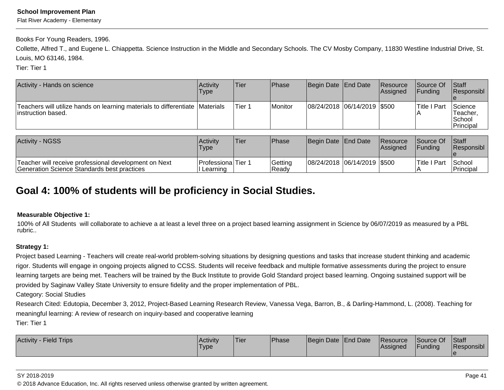Flat River Academy - Elementary

Books For Young Readers, 1996.

Collette, Alfred T., and Eugene L. Chiappetta. Science Instruction in the Middle and Secondary Schools. The CV Mosby Company, 11830 Westline Industrial Drive, St.Louis, MO 63146, 1984.

Tier: Tier 1

| Activity - Hands on science                                                                         | <b>Activity</b><br>Type | lTier. | <b>IPhase</b> | Begin Date End Date         | <b>Resource</b><br>lAssianed | <b>Source Of</b><br><b>IFundina</b> | <b>Staff</b><br>Responsibl                 |
|-----------------------------------------------------------------------------------------------------|-------------------------|--------|---------------|-----------------------------|------------------------------|-------------------------------------|--------------------------------------------|
| Teachers will utilize hands on learning materials to differentiate Materials<br>linstruction based. |                         | Tier 1 | Monitor       | 08/24/2018 06/14/2019 \$500 |                              | lTitle I Part                       | Science<br>Teacher.<br>School<br>Principal |

| <b>Activity - NGSS</b>                                                                                | Activity<br>'Type                     | lTier | Phase             | Begin Date End Date            | <b>Resource</b><br><b>IAssianed</b> | <b>Source Of</b><br><b>IFundina</b> | <b>Staff</b><br><b>Responsibl</b> |
|-------------------------------------------------------------------------------------------------------|---------------------------------------|-------|-------------------|--------------------------------|-------------------------------------|-------------------------------------|-----------------------------------|
| 'Teacher will receive professional development on Next<br>Generation Science Standards best practices | <b>ProfessionalTier 1</b><br>Learning |       | Getting<br>'Ready | 08/24/2018  06/14/2019   \$500 |                                     | Title I Part                        | School<br><b>IPrincipal</b>       |

## **Goal 4: 100% of students will be proficiency in Social Studies.**

### **Measurable Objective 1:**

100% of All Students will collaborate to achieve a at least a level three on a project based learning assignment in Science by 06/07/2019 as measured by a PBLrubric..

### **Strategy 1:**

Project based Learning - Teachers will create real-world problem-solving situations by designing questions and tasks that increase student thinking and academic rigor. Students will engage in ongoing projects aligned to CCSS. Students will receive feedback and multiple formative assessments during the project to ensurelearning targets are being met. Teachers will be trained by the Buck Institute to provide Gold Standard project based learning. Ongoing sustained support will be provided by Saginaw Valley State University to ensure fidelity and the proper implementation of PBL.

Category: Social Studies

 Research Cited: Edutopia, December 3, 2012, Project-Based Learning Research Review, Vanessa Vega, Barron, B., & Darling-Hammond, L. (2008). Teaching formeaningful learning: A review of research on inquiry-based and cooperative learning

Tier: Tier 1

| <b>Activity - Field Trips</b> | Activity<br>'Type | 'Tier | Phase | Begin Date End Date | <b>Resource</b><br><b>IAssigned</b> | Source Of<br><b>Funding</b> | <b>Staff</b><br>Responsibl |
|-------------------------------|-------------------|-------|-------|---------------------|-------------------------------------|-----------------------------|----------------------------|
|                               |                   |       |       |                     |                                     |                             |                            |

#### SY 2018-2019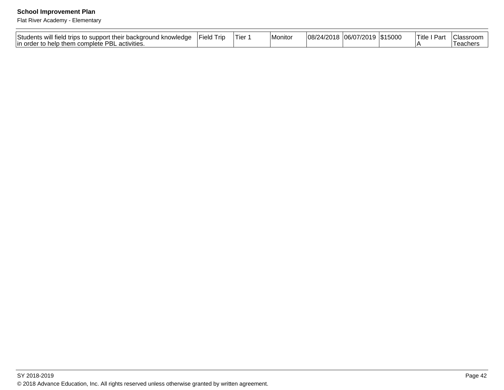Flat River Academy - Elementary

| <br><b>Students</b><br>. .<br>nd knowledge<br>will field trips<br>$\sim$ IDDC $\sim$<br>me<br>ا ان<br>¬៶រเJเ. | . . <del>. .</del><br>∵⊢ielo<br>l rıc | ler | ∣Monitor | 108/ | σr<br>м.<br>uozi | טטעט ו | . .<br>$120r+$<br>- 60<br>14 V | حەرب<br>. J. |
|---------------------------------------------------------------------------------------------------------------|---------------------------------------|-----|----------|------|------------------|--------|--------------------------------|--------------|
| וסמ<br>$\sim$ $\sim$ $\sim$<br>!in ord∈<br>activities.<br>-he<br>$\sim$<br>بامامه<br>ю<br>INICIO<br>-         |                                       |     |          |      |                  |        |                                | eacner:      |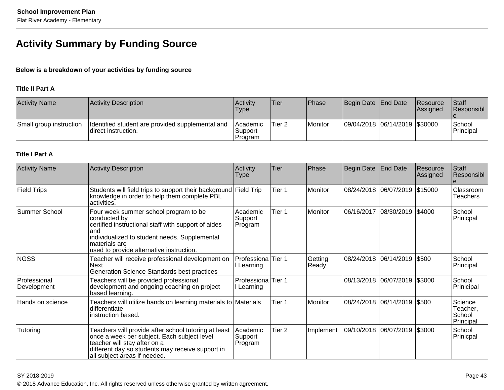# **Activity Summary by Funding Source**

### **Below is a breakdown of your activities by funding source**

### **Title II Part A**

| <b>Activity Name</b>    | Activity Description                                                    | Activity<br><b>Type</b>          | 'Tier             | Phase   | Begin Date End Date |                               | <b>Resource</b><br><b>Assigned</b> | <b>Staff</b><br><b>Responsibl</b> |
|-------------------------|-------------------------------------------------------------------------|----------------------------------|-------------------|---------|---------------------|-------------------------------|------------------------------------|-----------------------------------|
| Small group instruction | Identified student are provided supplemental and<br>direct instruction. | l Academic<br>Support<br>Program | Tier <sub>2</sub> | Monitor |                     | 09/04/2018 06/14/2019 \$30000 |                                    | School<br>Principal               |

### **Title I Part A**

| <b>Activity Name</b>        | <b>Activity Description</b>                                                                                                                                                                                                         | Activity<br>Type                 | <b>Tier</b> | Phase            | Begin Date | <b>End Date</b>        | Resource<br>Assigned | Staff<br>Responsibl                        |
|-----------------------------|-------------------------------------------------------------------------------------------------------------------------------------------------------------------------------------------------------------------------------------|----------------------------------|-------------|------------------|------------|------------------------|----------------------|--------------------------------------------|
| <b>Field Trips</b>          | Students will field trips to support their background Field Trip<br>knowledge in order to help them complete PBL<br>activities.                                                                                                     |                                  | Tier 1      | Monitor          |            | 08/24/2018 06/07/2019  | \$15000              | Classroom<br><b>Teachers</b>               |
| Summer School               | Four week summer school program to be<br>conducted by<br>certified instructional staff with support of aides<br>land<br>individualized to student needs. Supplemental<br>lmaterials are<br>used to provide alternative instruction. | Academic<br>Support<br>Program   | Tier 1      | Monitor          | 06/16/2017 | 08/30/2019             | \$4000               | School<br>Prinicpal                        |
| <b>NGSS</b>                 | Teacher will receive professional development on<br><b>Next</b><br>Generation Science Standards best practices                                                                                                                      | Professiona Tier 1<br>Learning   |             | Getting<br>Ready |            | 08/24/2018 06/14/2019  | \$500                | School<br>Principal                        |
| Professional<br>Development | Teachers will be provided professional<br>development and ongoing coaching on project<br>based learning.                                                                                                                            | Professiona Tier 1<br>I Learning |             |                  |            | 08/13/2018 06/07/2019  | \$3000               | School<br>Prinicipal                       |
| Hands on science            | Teachers will utilize hands on learning materials to Materials<br>differentiate<br>instruction based.                                                                                                                               |                                  | Tier 1      | <i>Monitor</i>   |            | 08/24/2018 06/14/2019  | \$500                | Science<br>Teacher,<br>School<br>Principal |
| Tutoring                    | Teachers will provide after school tutoring at least<br>once a week per subject. Each subject level<br>teacher will stay after on a<br>different day so students may receive support in<br>all subject areas if needed.             | Academic<br>Support<br>Program   | Tier 2      | Implement        |            | 09/10/2018  06/07/2019 | \$3000               | School<br>Prinicpal                        |

SY 2018-2019en and the set of the set of the set of the set of the set of the set of the set of the set of the set of the set of the set of the set of the set of the set of the set of the set of the set of the set of the set of the se © 2018 Advance Education, Inc. All rights reserved unless otherwise granted by written agreement.